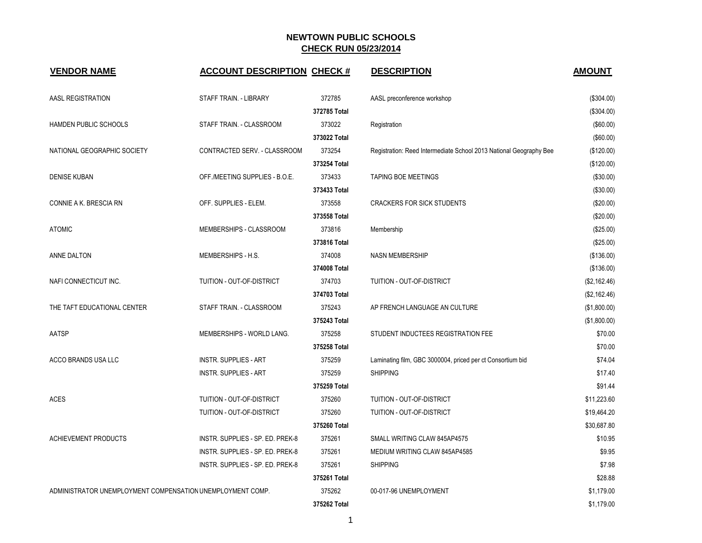| <b>VENDOR NAME</b>                                         | <b>ACCOUNT DESCRIPTION CHECK #</b> |              | <b>DESCRIPTION</b>                                                 | <b>AMOUNT</b> |
|------------------------------------------------------------|------------------------------------|--------------|--------------------------------------------------------------------|---------------|
| AASL REGISTRATION                                          | STAFF TRAIN. - LIBRARY             | 372785       | AASL preconference workshop                                        | (\$304.00)    |
|                                                            |                                    | 372785 Total |                                                                    | (\$304.00)    |
| HAMDEN PUBLIC SCHOOLS                                      | STAFF TRAIN. - CLASSROOM           | 373022       | Registration                                                       | (\$60.00)     |
|                                                            |                                    | 373022 Total |                                                                    | (\$60.00)     |
| NATIONAL GEOGRAPHIC SOCIETY                                | CONTRACTED SERV. - CLASSROOM       | 373254       | Registration: Reed Intermediate School 2013 National Geography Bee | (\$120.00)    |
|                                                            |                                    | 373254 Total |                                                                    | (\$120.00)    |
| <b>DENISE KUBAN</b>                                        | OFF./MEETING SUPPLIES - B.O.E.     | 373433       | <b>TAPING BOE MEETINGS</b>                                         | (\$30.00)     |
|                                                            |                                    | 373433 Total |                                                                    | (\$30.00)     |
| CONNIE A K. BRESCIA RN                                     | OFF. SUPPLIES - ELEM.              | 373558       | <b>CRACKERS FOR SICK STUDENTS</b>                                  | (\$20.00)     |
|                                                            |                                    | 373558 Total |                                                                    | (\$20.00)     |
| <b>ATOMIC</b>                                              | MEMBERSHIPS - CLASSROOM            | 373816       | Membership                                                         | (\$25.00)     |
|                                                            |                                    | 373816 Total |                                                                    | (\$25.00)     |
| ANNE DALTON                                                | MEMBERSHIPS - H.S.                 | 374008       | <b>NASN MEMBERSHIP</b>                                             | (\$136.00)    |
|                                                            |                                    | 374008 Total |                                                                    | (\$136.00)    |
| NAFI CONNECTICUT INC.                                      | TUITION - OUT-OF-DISTRICT          | 374703       | TUITION - OUT-OF-DISTRICT                                          | (\$2,162.46)  |
|                                                            |                                    | 374703 Total |                                                                    | (\$2,162.46)  |
| THE TAFT EDUCATIONAL CENTER                                | STAFF TRAIN. - CLASSROOM           | 375243       | AP FRENCH LANGUAGE AN CULTURE                                      | (\$1,800.00)  |
|                                                            |                                    | 375243 Total |                                                                    | (\$1,800.00)  |
| AATSP                                                      | MEMBERSHIPS - WORLD LANG.          | 375258       | STUDENT INDUCTEES REGISTRATION FEE                                 | \$70.00       |
|                                                            |                                    | 375258 Total |                                                                    | \$70.00       |
| ACCO BRANDS USA LLC                                        | <b>INSTR. SUPPLIES - ART</b>       | 375259       | Laminating film, GBC 3000004, priced per ct Consortium bid         | \$74.04       |
|                                                            | <b>INSTR. SUPPLIES - ART</b>       | 375259       | <b>SHIPPING</b>                                                    | \$17.40       |
|                                                            |                                    | 375259 Total |                                                                    | \$91.44       |
| <b>ACES</b>                                                | TUITION - OUT-OF-DISTRICT          | 375260       | TUITION - OUT-OF-DISTRICT                                          | \$11,223.60   |
|                                                            | TUITION - OUT-OF-DISTRICT          | 375260       | TUITION - OUT-OF-DISTRICT                                          | \$19,464.20   |
|                                                            |                                    | 375260 Total |                                                                    | \$30,687.80   |
| <b>ACHIEVEMENT PRODUCTS</b>                                | INSTR. SUPPLIES - SP. ED. PREK-8   | 375261       | SMALL WRITING CLAW 845AP4575                                       | \$10.95       |
|                                                            | INSTR. SUPPLIES - SP. ED. PREK-8   | 375261       | MEDIUM WRITING CLAW 845AP4585                                      | \$9.95        |
|                                                            | INSTR. SUPPLIES - SP. ED. PREK-8   | 375261       | <b>SHIPPING</b>                                                    | \$7.98        |
|                                                            |                                    | 375261 Total |                                                                    | \$28.88       |
| ADMINISTRATOR UNEMPLOYMENT COMPENSATION UNEMPLOYMENT COMP. |                                    | 375262       | 00-017-96 UNEMPLOYMENT                                             | \$1,179.00    |
|                                                            |                                    | 375262 Total |                                                                    | \$1,179.00    |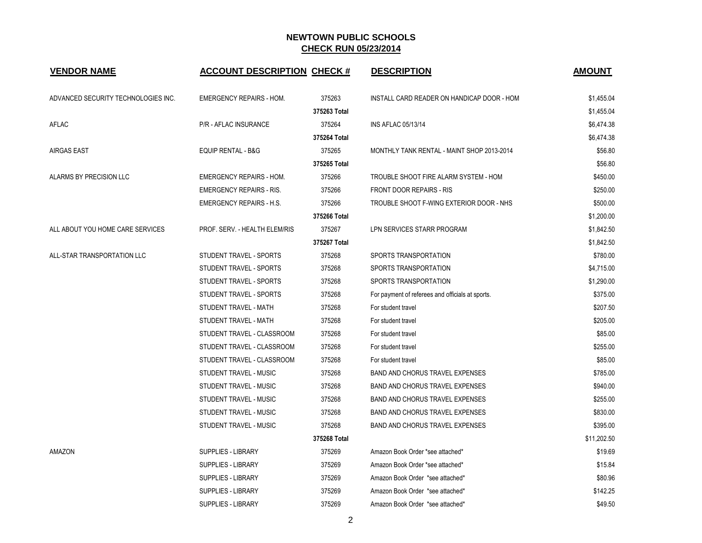| <b>VENDOR NAME</b>                  | <b>ACCOUNT DESCRIPTION CHECK #</b> |              | <b>DESCRIPTION</b>                               | <b>AMOUNT</b> |
|-------------------------------------|------------------------------------|--------------|--------------------------------------------------|---------------|
| ADVANCED SECURITY TECHNOLOGIES INC. | <b>EMERGENCY REPAIRS - HOM.</b>    | 375263       | INSTALL CARD READER ON HANDICAP DOOR - HOM       | \$1,455.04    |
|                                     |                                    | 375263 Total |                                                  | \$1,455.04    |
| AFLAC                               | <b>P/R - AFLAC INSURANCE</b>       | 375264       | <b>INS AFLAC 05/13/14</b>                        | \$6,474.38    |
|                                     |                                    | 375264 Total |                                                  | \$6,474.38    |
| <b>AIRGAS EAST</b>                  | <b>EQUIP RENTAL - B&amp;G</b>      | 375265       | MONTHLY TANK RENTAL - MAINT SHOP 2013-2014       | \$56.80       |
|                                     |                                    | 375265 Total |                                                  | \$56.80       |
| ALARMS BY PRECISION LLC             | <b>EMERGENCY REPAIRS - HOM.</b>    | 375266       | TROUBLE SHOOT FIRE ALARM SYSTEM - HOM            | \$450.00      |
|                                     | <b>EMERGENCY REPAIRS - RIS.</b>    | 375266       | <b>FRONT DOOR REPAIRS - RIS</b>                  | \$250.00      |
|                                     | <b>EMERGENCY REPAIRS - H.S.</b>    | 375266       | TROUBLE SHOOT F-WING EXTERIOR DOOR - NHS         | \$500.00      |
|                                     |                                    | 375266 Total |                                                  | \$1,200.00    |
| ALL ABOUT YOU HOME CARE SERVICES    | PROF. SERV. - HEALTH ELEM/RIS      | 375267       | LPN SERVICES STARR PROGRAM                       | \$1,842.50    |
|                                     |                                    | 375267 Total |                                                  | \$1,842.50    |
| ALL-STAR TRANSPORTATION LLC         | STUDENT TRAVEL - SPORTS            | 375268       | SPORTS TRANSPORTATION                            | \$780.00      |
|                                     | STUDENT TRAVEL - SPORTS            | 375268       | SPORTS TRANSPORTATION                            | \$4,715.00    |
|                                     | STUDENT TRAVEL - SPORTS            | 375268       | SPORTS TRANSPORTATION                            | \$1,290.00    |
|                                     | STUDENT TRAVEL - SPORTS            | 375268       | For payment of referees and officials at sports. | \$375.00      |
|                                     | STUDENT TRAVEL - MATH              | 375268       | For student travel                               | \$207.50      |
|                                     | STUDENT TRAVEL - MATH              | 375268       | For student travel                               | \$205.00      |
|                                     | STUDENT TRAVEL - CLASSROOM         | 375268       | For student travel                               | \$85.00       |
|                                     | STUDENT TRAVEL - CLASSROOM         | 375268       | For student travel                               | \$255.00      |
|                                     | STUDENT TRAVEL - CLASSROOM         | 375268       | For student travel                               | \$85.00       |
|                                     | STUDENT TRAVEL - MUSIC             | 375268       | <b>BAND AND CHORUS TRAVEL EXPENSES</b>           | \$785.00      |
|                                     | STUDENT TRAVEL - MUSIC             | 375268       | BAND AND CHORUS TRAVEL EXPENSES                  | \$940.00      |
|                                     | STUDENT TRAVEL - MUSIC             | 375268       | <b>BAND AND CHORUS TRAVEL EXPENSES</b>           | \$255.00      |
|                                     | STUDENT TRAVEL - MUSIC             | 375268       | <b>BAND AND CHORUS TRAVEL EXPENSES</b>           | \$830.00      |
|                                     | STUDENT TRAVEL - MUSIC             | 375268       | <b>BAND AND CHORUS TRAVEL EXPENSES</b>           | \$395.00      |
|                                     |                                    | 375268 Total |                                                  | \$11,202.50   |
| AMAZON                              | SUPPLIES - LIBRARY                 | 375269       | Amazon Book Order *see attached*                 | \$19.69       |
|                                     | <b>SUPPLIES - LIBRARY</b>          | 375269       | Amazon Book Order *see attached*                 | \$15.84       |
|                                     | <b>SUPPLIES - LIBRARY</b>          | 375269       | Amazon Book Order *see attached*                 | \$80.96       |
|                                     | SUPPLIES - LIBRARY                 | 375269       | Amazon Book Order *see attached*                 | \$142.25      |
|                                     | <b>SUPPLIES - LIBRARY</b>          | 375269       | Amazon Book Order *see attached*                 | \$49.50       |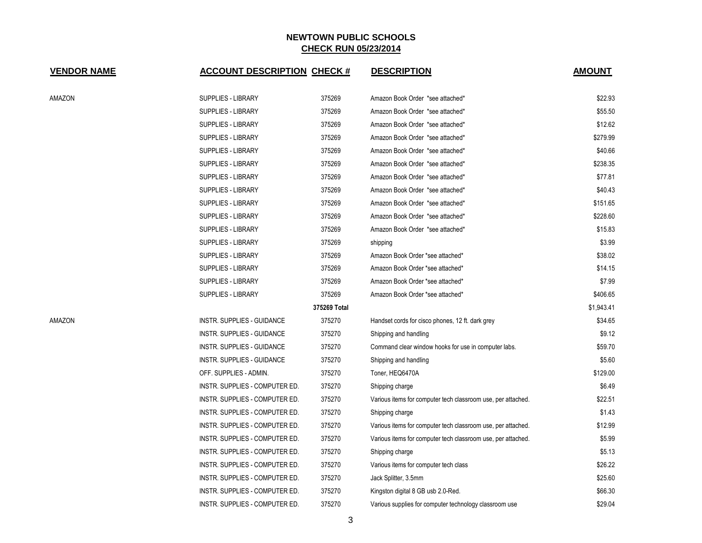| <b>VENDOR NAME</b> | <b>ACCOUNT DESCRIPTION CHECK #</b> |              | <b>DESCRIPTION</b>                                           | <b>AMOUNT</b> |
|--------------------|------------------------------------|--------------|--------------------------------------------------------------|---------------|
| AMAZON             | <b>SUPPLIES - LIBRARY</b>          | 375269       | Amazon Book Order *see attached*                             | \$22.93       |
|                    | <b>SUPPLIES - LIBRARY</b>          | 375269       | Amazon Book Order *see attached*                             | \$55.50       |
|                    | <b>SUPPLIES - LIBRARY</b>          | 375269       | Amazon Book Order *see attached*                             | \$12.62       |
|                    | <b>SUPPLIES - LIBRARY</b>          | 375269       | Amazon Book Order *see attached*                             | \$279.99      |
|                    | <b>SUPPLIES - LIBRARY</b>          | 375269       | Amazon Book Order *see attached*                             | \$40.66       |
|                    | <b>SUPPLIES - LIBRARY</b>          | 375269       | Amazon Book Order *see attached*                             | \$238.35      |
|                    | <b>SUPPLIES - LIBRARY</b>          | 375269       | Amazon Book Order *see attached*                             | \$77.81       |
|                    | <b>SUPPLIES - LIBRARY</b>          | 375269       | Amazon Book Order *see attached*                             | \$40.43       |
|                    | <b>SUPPLIES - LIBRARY</b>          | 375269       | Amazon Book Order *see attached*                             | \$151.65      |
|                    | <b>SUPPLIES - LIBRARY</b>          | 375269       | Amazon Book Order *see attached*                             | \$228.60      |
|                    | <b>SUPPLIES - LIBRARY</b>          | 375269       | Amazon Book Order *see attached*                             | \$15.83       |
|                    | SUPPLIES - LIBRARY                 | 375269       | shipping                                                     | \$3.99        |
|                    | SUPPLIES - LIBRARY                 | 375269       | Amazon Book Order *see attached*                             | \$38.02       |
|                    | <b>SUPPLIES - LIBRARY</b>          | 375269       | Amazon Book Order *see attached*                             | \$14.15       |
|                    | <b>SUPPLIES - LIBRARY</b>          | 375269       | Amazon Book Order *see attached*                             | \$7.99        |
|                    | <b>SUPPLIES - LIBRARY</b>          | 375269       | Amazon Book Order *see attached*                             | \$406.65      |
|                    |                                    | 375269 Total |                                                              | \$1,943.41    |
| AMAZON             | INSTR. SUPPLIES - GUIDANCE         | 375270       | Handset cords for cisco phones, 12 ft. dark grey             | \$34.65       |
|                    | INSTR. SUPPLIES - GUIDANCE         | 375270       | Shipping and handling                                        | \$9.12        |
|                    | INSTR. SUPPLIES - GUIDANCE         | 375270       | Command clear window hooks for use in computer labs.         | \$59.70       |
|                    | INSTR. SUPPLIES - GUIDANCE         | 375270       | Shipping and handling                                        | \$5.60        |
|                    | OFF. SUPPLIES - ADMIN.             | 375270       | Toner, HEQ6470A                                              | \$129.00      |
|                    | INSTR. SUPPLIES - COMPUTER ED.     | 375270       | Shipping charge                                              | \$6.49        |
|                    | INSTR. SUPPLIES - COMPUTER ED.     | 375270       | Various items for computer tech classroom use, per attached. | \$22.51       |
|                    | INSTR. SUPPLIES - COMPUTER ED.     | 375270       | Shipping charge                                              | \$1.43        |
|                    | INSTR. SUPPLIES - COMPUTER ED.     | 375270       | Various items for computer tech classroom use, per attached. | \$12.99       |
|                    | INSTR. SUPPLIES - COMPUTER ED.     | 375270       | Various items for computer tech classroom use, per attached. | \$5.99        |
|                    | INSTR. SUPPLIES - COMPUTER ED.     | 375270       | Shipping charge                                              | \$5.13        |
|                    | INSTR. SUPPLIES - COMPUTER ED.     | 375270       | Various items for computer tech class                        | \$26.22       |
|                    | INSTR. SUPPLIES - COMPUTER ED.     | 375270       | Jack Splitter, 3.5mm                                         | \$25.60       |
|                    | INSTR. SUPPLIES - COMPUTER ED.     | 375270       | Kingston digital 8 GB usb 2.0-Red.                           | \$66.30       |
|                    | INSTR. SUPPLIES - COMPUTER ED.     | 375270       | Various supplies for computer technology classroom use       | \$29.04       |

3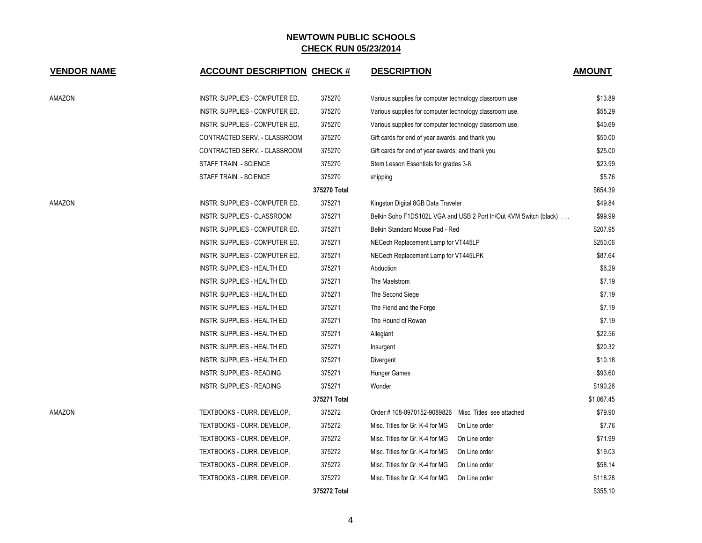| <b>VENDOR NAME</b> | <b>ACCOUNT DESCRIPTION CHECK #</b> |              | <b>DESCRIPTION</b>                                      |                                                                   | <b>AMOUNT</b> |
|--------------------|------------------------------------|--------------|---------------------------------------------------------|-------------------------------------------------------------------|---------------|
|                    |                                    |              |                                                         |                                                                   |               |
| AMAZON             | INSTR. SUPPLIES - COMPUTER ED.     | 375270       | Various supplies for computer technology classroom use  |                                                                   | \$13.89       |
|                    | INSTR. SUPPLIES - COMPUTER ED.     | 375270       | Various supplies for computer technology classroom use. |                                                                   | \$55.29       |
|                    | INSTR. SUPPLIES - COMPUTER ED.     | 375270       | Various supplies for computer technology classroom use. |                                                                   | \$40.69       |
|                    | CONTRACTED SERV. - CLASSROOM       | 375270       | Gift cards for end of year awards, and thank you        |                                                                   | \$50.00       |
|                    | CONTRACTED SERV. - CLASSROOM       | 375270       | Gift cards for end of year awards, and thank you        |                                                                   | \$25.00       |
|                    | STAFF TRAIN. - SCIENCE             | 375270       | Stem Lesson Essentials for grades 3-8.                  |                                                                   | \$23.99       |
|                    | STAFF TRAIN. - SCIENCE             | 375270       | shipping                                                |                                                                   | \$5.76        |
|                    |                                    | 375270 Total |                                                         |                                                                   | \$654.39      |
| AMAZON             | INSTR. SUPPLIES - COMPUTER ED.     | 375271       | Kingston Digital 8GB Data Traveler                      |                                                                   | \$49.84       |
|                    | INSTR. SUPPLIES - CLASSROOM        | 375271       |                                                         | Belkin Soho F1DS102L VGA and USB 2 Port In/Out KVM Switch (black) | \$99.99       |
|                    | INSTR. SUPPLIES - COMPUTER ED.     | 375271       | Belkin Standard Mouse Pad - Red                         |                                                                   | \$207.95      |
|                    | INSTR. SUPPLIES - COMPUTER ED.     | 375271       | NECech Replacement Lamp for VT445LP                     |                                                                   | \$250.06      |
|                    | INSTR. SUPPLIES - COMPUTER ED.     | 375271       | NECech Replacement Lamp for VT445LPK                    |                                                                   | \$87.64       |
|                    | INSTR. SUPPLIES - HEALTH ED.       | 375271       | Abduction                                               |                                                                   | \$6.29        |
|                    | INSTR. SUPPLIES - HEALTH ED.       | 375271       | The Maelstrom                                           |                                                                   | \$7.19        |
|                    | INSTR. SUPPLIES - HEALTH ED.       | 375271       | The Second Siege                                        |                                                                   | \$7.19        |
|                    | INSTR. SUPPLIES - HEALTH ED.       | 375271       | The Fiend and the Forge                                 |                                                                   | \$7.19        |
|                    | INSTR. SUPPLIES - HEALTH ED.       | 375271       | The Hound of Rowan                                      |                                                                   | \$7.19        |
|                    | INSTR. SUPPLIES - HEALTH ED.       | 375271       | Allegiant                                               |                                                                   | \$22.56       |
|                    | INSTR. SUPPLIES - HEALTH ED.       | 375271       | Insurgent                                               |                                                                   | \$20.32       |
|                    | INSTR. SUPPLIES - HEALTH ED.       | 375271       | Divergent                                               |                                                                   | \$10.18       |
|                    | <b>INSTR. SUPPLIES - READING</b>   | 375271       | Hunger Games                                            |                                                                   | \$93.60       |
|                    | <b>INSTR. SUPPLIES - READING</b>   | 375271       | Wonder                                                  |                                                                   | \$190.26      |
|                    |                                    | 375271 Total |                                                         |                                                                   | \$1,067.45    |
| AMAZON             | TEXTBOOKS - CURR. DEVELOP.         | 375272       | Order #108-0970152-9089826 Misc. Titles see attached    |                                                                   | \$79.90       |
|                    | TEXTBOOKS - CURR. DEVELOP.         | 375272       | Misc. Titles for Gr. K-4 for MG                         | On Line order                                                     | \$7.76        |
|                    | TEXTBOOKS - CURR. DEVELOP.         | 375272       | Misc. Titles for Gr. K-4 for MG                         | On Line order                                                     | \$71.99       |
|                    | TEXTBOOKS - CURR. DEVELOP.         | 375272       | Misc. Titles for Gr. K-4 for MG                         | On Line order                                                     | \$19.03       |
|                    | TEXTBOOKS - CURR. DEVELOP.         | 375272       | Misc. Titles for Gr. K-4 for MG                         | On Line order                                                     | \$58.14       |
|                    | TEXTBOOKS - CURR. DEVELOP.         | 375272       | Misc. Titles for Gr. K-4 for MG                         | On Line order                                                     | \$118.28      |
|                    |                                    | 375272 Total |                                                         |                                                                   | \$355.10      |

4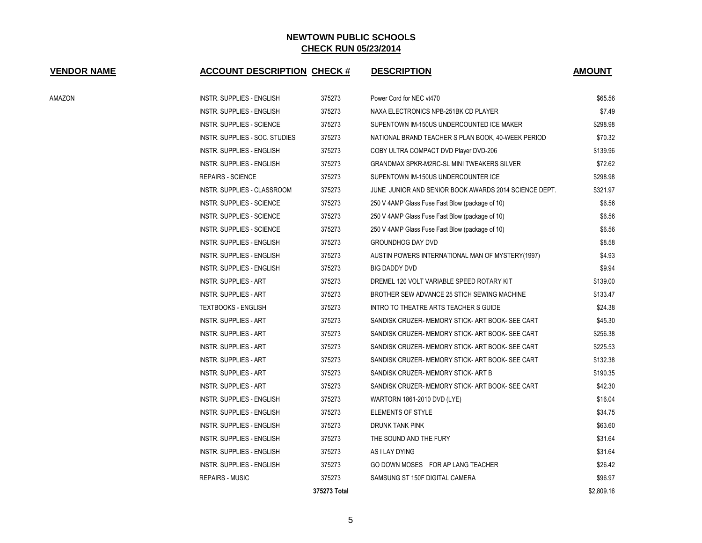| <b>VENDOR NAME</b> | <b>ACCOUNT DESCRIPTION CHECK #</b> |              | <b>DESCRIPTION</b>                                    | <b>AMOUNT</b> |
|--------------------|------------------------------------|--------------|-------------------------------------------------------|---------------|
| AMAZON             | <b>INSTR. SUPPLIES - ENGLISH</b>   | 375273       | Power Cord for NEC vt470                              | \$65.56       |
|                    | <b>INSTR. SUPPLIES - ENGLISH</b>   | 375273       | NAXA ELECTRONICS NPB-251BK CD PLAYER                  | \$7.49        |
|                    | <b>INSTR. SUPPLIES - SCIENCE</b>   | 375273       | SUPENTOWN IM-150US UNDERCOUNTED ICE MAKER             | \$298.98      |
|                    | INSTR. SUPPLIES - SOC. STUDIES     | 375273       | NATIONAL BRAND TEACHER S PLAN BOOK, 40-WEEK PERIOD    | \$70.32       |
|                    | <b>INSTR. SUPPLIES - ENGLISH</b>   | 375273       | COBY ULTRA COMPACT DVD Player DVD-206                 | \$139.96      |
|                    | <b>INSTR. SUPPLIES - ENGLISH</b>   | 375273       | <b>GRANDMAX SPKR-M2RC-SL MINI TWEAKERS SILVER</b>     | \$72.62       |
|                    | <b>REPAIRS - SCIENCE</b>           | 375273       | SUPENTOWN IM-150US UNDERCOUNTER ICE                   | \$298.98      |
|                    | INSTR. SUPPLIES - CLASSROOM        | 375273       | JUNE JUNIOR AND SENIOR BOOK AWARDS 2014 SCIENCE DEPT. | \$321.97      |
|                    | INSTR. SUPPLIES - SCIENCE          | 375273       | 250 V 4AMP Glass Fuse Fast Blow (package of 10)       | \$6.56        |
|                    | <b>INSTR. SUPPLIES - SCIENCE</b>   | 375273       | 250 V 4AMP Glass Fuse Fast Blow (package of 10)       | \$6.56        |
|                    | <b>INSTR. SUPPLIES - SCIENCE</b>   | 375273       | 250 V 4AMP Glass Fuse Fast Blow (package of 10)       | \$6.56        |
|                    | INSTR. SUPPLIES - ENGLISH          | 375273       | <b>GROUNDHOG DAY DVD</b>                              | \$8.58        |
|                    | INSTR. SUPPLIES - ENGLISH          | 375273       | AUSTIN POWERS INTERNATIONAL MAN OF MYSTERY(1997)      | \$4.93        |
|                    | <b>INSTR. SUPPLIES - ENGLISH</b>   | 375273       | BIG DADDY DVD                                         | \$9.94        |
|                    | <b>INSTR. SUPPLIES - ART</b>       | 375273       | DREMEL 120 VOLT VARIABLE SPEED ROTARY KIT             | \$139.00      |
|                    | <b>INSTR. SUPPLIES - ART</b>       | 375273       | BROTHER SEW ADVANCE 25 STICH SEWING MACHINE           | \$133.47      |
|                    | <b>TEXTBOOKS - ENGLISH</b>         | 375273       | INTRO TO THEATRE ARTS TEACHER S GUIDE                 | \$24.38       |
|                    | <b>INSTR. SUPPLIES - ART</b>       | 375273       | SANDISK CRUZER- MEMORY STICK- ART BOOK- SEE CART      | \$45.30       |
|                    | INSTR. SUPPLIES - ART              | 375273       | SANDISK CRUZER- MEMORY STICK- ART BOOK- SEE CART      | \$256.38      |
|                    | INSTR. SUPPLIES - ART              | 375273       | SANDISK CRUZER- MEMORY STICK- ART BOOK- SEE CART      | \$225.53      |
|                    | <b>INSTR. SUPPLIES - ART</b>       | 375273       | SANDISK CRUZER- MEMORY STICK- ART BOOK- SEE CART      | \$132.38      |
|                    | <b>INSTR. SUPPLIES - ART</b>       | 375273       | SANDISK CRUZER- MEMORY STICK- ART B                   | \$190.35      |
|                    | <b>INSTR. SUPPLIES - ART</b>       | 375273       | SANDISK CRUZER- MEMORY STICK- ART BOOK- SEE CART      | \$42.30       |
|                    | INSTR. SUPPLIES - ENGLISH          | 375273       | WARTORN 1861-2010 DVD (LYE)                           | \$16.04       |
|                    | INSTR. SUPPLIES - ENGLISH          | 375273       | <b>ELEMENTS OF STYLE</b>                              | \$34.75       |
|                    | INSTR. SUPPLIES - ENGLISH          | 375273       | DRUNK TANK PINK                                       | \$63.60       |
|                    | INSTR. SUPPLIES - ENGLISH          | 375273       | THE SOUND AND THE FURY                                | \$31.64       |
|                    | INSTR. SUPPLIES - ENGLISH          | 375273       | AS I LAY DYING                                        | \$31.64       |
|                    | <b>INSTR. SUPPLIES - ENGLISH</b>   | 375273       | GO DOWN MOSES FOR AP LANG TEACHER                     | \$26.42       |
|                    | <b>REPAIRS - MUSIC</b>             | 375273       | SAMSUNG ST 150F DIGITAL CAMERA                        | \$96.97       |
|                    |                                    | 375273 Total |                                                       | \$2,809.16    |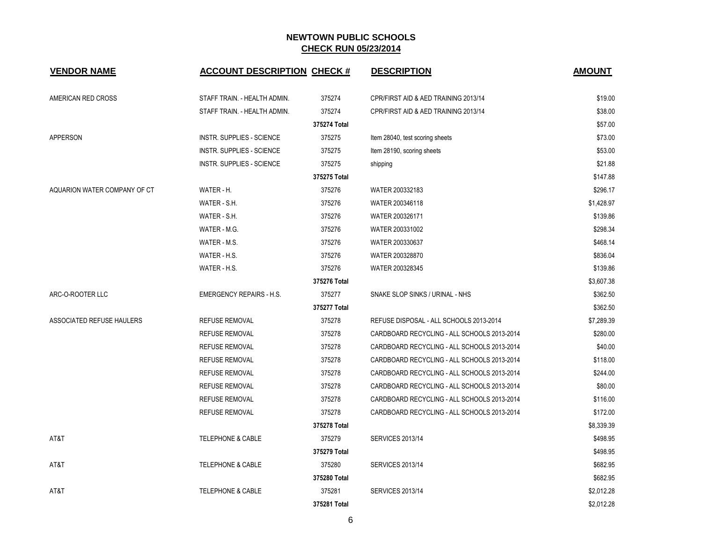| <b>VENDOR NAME</b>           | <b>ACCOUNT DESCRIPTION CHECK #</b> |              | <b>DESCRIPTION</b>                          | <b>AMOUNT</b> |
|------------------------------|------------------------------------|--------------|---------------------------------------------|---------------|
| AMERICAN RED CROSS           | STAFF TRAIN. - HEALTH ADMIN.       | 375274       | CPR/FIRST AID & AED TRAINING 2013/14        | \$19.00       |
|                              | STAFF TRAIN. - HEALTH ADMIN.       | 375274       | CPR/FIRST AID & AED TRAINING 2013/14        | \$38.00       |
|                              |                                    | 375274 Total |                                             | \$57.00       |
| <b>APPERSON</b>              | <b>INSTR. SUPPLIES - SCIENCE</b>   | 375275       | Item 28040, test scoring sheets             | \$73.00       |
|                              | <b>INSTR. SUPPLIES - SCIENCE</b>   | 375275       | Item 28190, scoring sheets                  | \$53.00       |
|                              | <b>INSTR. SUPPLIES - SCIENCE</b>   | 375275       | shipping                                    | \$21.88       |
|                              |                                    | 375275 Total |                                             | \$147.88      |
| AQUARION WATER COMPANY OF CT | WATER - H.                         | 375276       | WATER 200332183                             | \$296.17      |
|                              | WATER - S.H.                       | 375276       | WATER 200346118                             | \$1,428.97    |
|                              | WATER - S.H.                       | 375276       | WATER 200326171                             | \$139.86      |
|                              | WATER - M.G.                       | 375276       | WATER 200331002                             | \$298.34      |
|                              | WATER - M.S.                       | 375276       | WATER 200330637                             | \$468.14      |
|                              | WATER - H.S.                       | 375276       | WATER 200328870                             | \$836.04      |
|                              | WATER - H.S.                       | 375276       | WATER 200328345                             | \$139.86      |
|                              |                                    | 375276 Total |                                             | \$3,607.38    |
| ARC-O-ROOTER LLC             | <b>EMERGENCY REPAIRS - H.S.</b>    | 375277       | SNAKE SLOP SINKS / URINAL - NHS             | \$362.50      |
|                              |                                    | 375277 Total |                                             | \$362.50      |
| ASSOCIATED REFUSE HAULERS    | <b>REFUSE REMOVAL</b>              | 375278       | REFUSE DISPOSAL - ALL SCHOOLS 2013-2014     | \$7,289.39    |
|                              | REFUSE REMOVAL                     | 375278       | CARDBOARD RECYCLING - ALL SCHOOLS 2013-2014 | \$280.00      |
|                              | <b>REFUSE REMOVAL</b>              | 375278       | CARDBOARD RECYCLING - ALL SCHOOLS 2013-2014 | \$40.00       |
|                              | <b>REFUSE REMOVAL</b>              | 375278       | CARDBOARD RECYCLING - ALL SCHOOLS 2013-2014 | \$118.00      |
|                              | <b>REFUSE REMOVAL</b>              | 375278       | CARDBOARD RECYCLING - ALL SCHOOLS 2013-2014 | \$244.00      |
|                              | REFUSE REMOVAL                     | 375278       | CARDBOARD RECYCLING - ALL SCHOOLS 2013-2014 | \$80.00       |
|                              | <b>REFUSE REMOVAL</b>              | 375278       | CARDBOARD RECYCLING - ALL SCHOOLS 2013-2014 | \$116.00      |
|                              | <b>REFUSE REMOVAL</b>              | 375278       | CARDBOARD RECYCLING - ALL SCHOOLS 2013-2014 | \$172.00      |
|                              |                                    | 375278 Total |                                             | \$8,339.39    |
| AT&T                         | <b>TELEPHONE &amp; CABLE</b>       | 375279       | <b>SERVICES 2013/14</b>                     | \$498.95      |
|                              |                                    | 375279 Total |                                             | \$498.95      |
| AT&T                         | <b>TELEPHONE &amp; CABLE</b>       | 375280       | <b>SERVICES 2013/14</b>                     | \$682.95      |
|                              |                                    | 375280 Total |                                             | \$682.95      |
| AT&T                         | <b>TELEPHONE &amp; CABLE</b>       | 375281       | <b>SERVICES 2013/14</b>                     | \$2,012.28    |
|                              |                                    | 375281 Total |                                             | \$2,012.28    |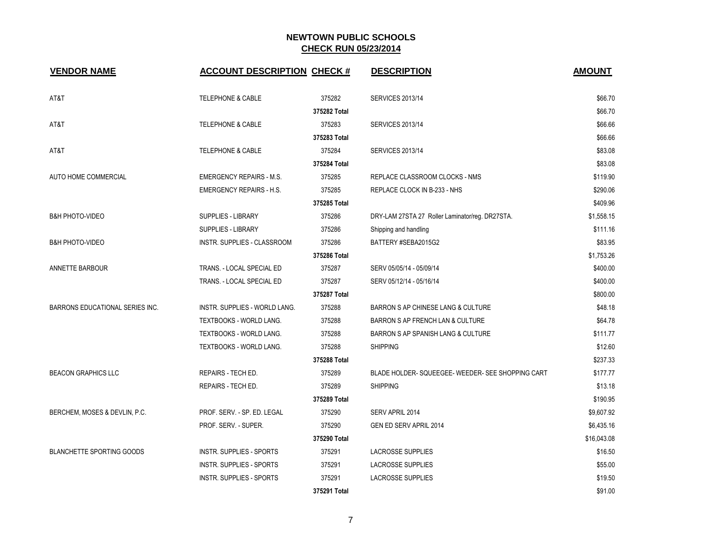| <b>VENDOR NAME</b>               | <b>ACCOUNT DESCRIPTION CHECK #</b> |              | <b>DESCRIPTION</b>                              | <b>AMOUNT</b> |
|----------------------------------|------------------------------------|--------------|-------------------------------------------------|---------------|
| AT&T                             | <b>TELEPHONE &amp; CABLE</b>       | 375282       | <b>SERVICES 2013/14</b>                         | \$66.70       |
|                                  |                                    | 375282 Total |                                                 | \$66.70       |
| AT&T                             | <b>TELEPHONE &amp; CABLE</b>       | 375283       | <b>SERVICES 2013/14</b>                         | \$66.66       |
|                                  |                                    | 375283 Total |                                                 | \$66.66       |
| AT&T                             | <b>TELEPHONE &amp; CABLE</b>       | 375284       | <b>SERVICES 2013/14</b>                         | \$83.08       |
|                                  |                                    | 375284 Total |                                                 | \$83.08       |
| AUTO HOME COMMERCIAL             | <b>EMERGENCY REPAIRS - M.S.</b>    | 375285       | REPLACE CLASSROOM CLOCKS - NMS                  | \$119.90      |
|                                  | <b>EMERGENCY REPAIRS - H.S.</b>    | 375285       | REPLACE CLOCK IN B-233 - NHS                    | \$290.06      |
|                                  |                                    | 375285 Total |                                                 | \$409.96      |
| <b>B&amp;H PHOTO-VIDEO</b>       | <b>SUPPLIES - LIBRARY</b>          | 375286       | DRY-LAM 27STA 27 Roller Laminator/reg. DR27STA. | \$1,558.15    |
|                                  | <b>SUPPLIES - LIBRARY</b>          | 375286       | Shipping and handling                           | \$111.16      |
| <b>B&amp;H PHOTO-VIDEO</b>       | INSTR. SUPPLIES - CLASSROOM        | 375286       | BATTERY #SEBA2015G2                             | \$83.95       |
|                                  |                                    | 375286 Total |                                                 | \$1,753.26    |
| ANNETTE BARBOUR                  | TRANS. - LOCAL SPECIAL ED          | 375287       | SERV 05/05/14 - 05/09/14                        | \$400.00      |
|                                  | TRANS. - LOCAL SPECIAL ED          | 375287       | SERV 05/12/14 - 05/16/14                        | \$400.00      |
|                                  |                                    | 375287 Total |                                                 | \$800.00      |
| BARRONS EDUCATIONAL SERIES INC.  | INSTR. SUPPLIES - WORLD LANG.      | 375288       | BARRON S AP CHINESE LANG & CULTURE              | \$48.18       |
|                                  | TEXTBOOKS - WORLD LANG.            | 375288       | BARRON S AP FRENCH LAN & CULTURE                | \$64.78       |
|                                  | TEXTBOOKS - WORLD LANG.            | 375288       | BARRON S AP SPANISH LANG & CULTURE              | \$111.77      |
|                                  | TEXTBOOKS - WORLD LANG.            | 375288       | <b>SHIPPING</b>                                 | \$12.60       |
|                                  |                                    | 375288 Total |                                                 | \$237.33      |
| <b>BEACON GRAPHICS LLC</b>       | REPAIRS - TECH ED.                 | 375289       | BLADE HOLDER-SQUEEGEE-WEEDER-SEE SHOPPING CART  | \$177.77      |
|                                  | REPAIRS - TECH ED.                 | 375289       | <b>SHIPPING</b>                                 | \$13.18       |
|                                  |                                    | 375289 Total |                                                 | \$190.95      |
| BERCHEM, MOSES & DEVLIN, P.C.    | PROF. SERV. - SP. ED. LEGAL        | 375290       | SERV APRIL 2014                                 | \$9,607.92    |
|                                  | PROF. SERV. - SUPER.               | 375290       | GEN ED SERV APRIL 2014                          | \$6,435.16    |
|                                  |                                    | 375290 Total |                                                 | \$16,043.08   |
| <b>BLANCHETTE SPORTING GOODS</b> | <b>INSTR. SUPPLIES - SPORTS</b>    | 375291       | <b>LACROSSE SUPPLIES</b>                        | \$16.50       |
|                                  | <b>INSTR. SUPPLIES - SPORTS</b>    | 375291       | LACROSSE SUPPLIES                               | \$55.00       |
|                                  | <b>INSTR. SUPPLIES - SPORTS</b>    | 375291       | <b>LACROSSE SUPPLIES</b>                        | \$19.50       |
|                                  |                                    | 375291 Total |                                                 | \$91.00       |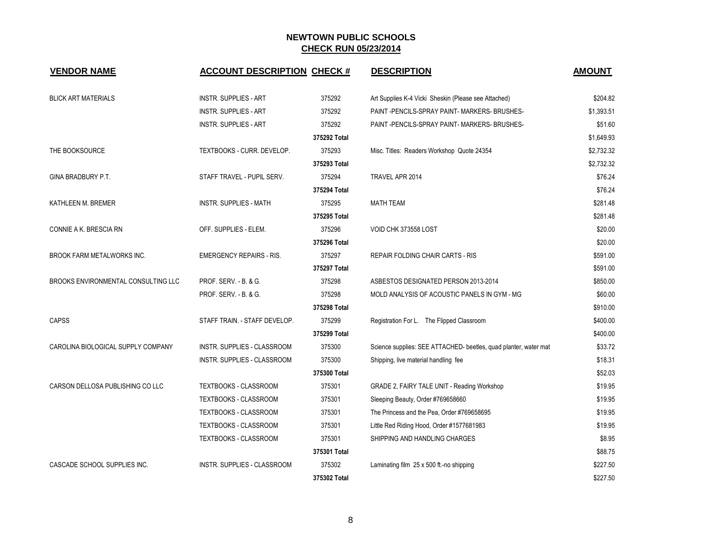| <b>VENDOR NAME</b>                  | <b>ACCOUNT DESCRIPTION CHECK #</b> |              | <b>DESCRIPTION</b>                                               | <b>AMOUNT</b> |
|-------------------------------------|------------------------------------|--------------|------------------------------------------------------------------|---------------|
|                                     |                                    |              |                                                                  |               |
| <b>BLICK ART MATERIALS</b>          | <b>INSTR. SUPPLIES - ART</b>       | 375292       | Art Supplies K-4 Vicki Sheskin (Please see Attached)             | \$204.82      |
|                                     | <b>INSTR. SUPPLIES - ART</b>       | 375292       | PAINT-PENCILS-SPRAY PAINT-MARKERS-BRUSHES-                       | \$1,393.51    |
|                                     | <b>INSTR. SUPPLIES - ART</b>       | 375292       | PAINT -PENCILS-SPRAY PAINT- MARKERS- BRUSHES-                    | \$51.60       |
|                                     |                                    | 375292 Total |                                                                  | \$1,649.93    |
| THE BOOKSOURCE                      | TEXTBOOKS - CURR. DEVELOP.         | 375293       | Misc. Titles: Readers Workshop Quote 24354                       | \$2,732.32    |
|                                     |                                    | 375293 Total |                                                                  | \$2,732.32    |
| GINA BRADBURY P.T.                  | STAFF TRAVEL - PUPIL SERV.         | 375294       | TRAVEL APR 2014                                                  | \$76.24       |
|                                     |                                    | 375294 Total |                                                                  | \$76.24       |
| KATHLEEN M. BREMER                  | <b>INSTR. SUPPLIES - MATH</b>      | 375295       | <b>MATH TEAM</b>                                                 | \$281.48      |
|                                     |                                    | 375295 Total |                                                                  | \$281.48      |
| CONNIE A K. BRESCIA RN              | OFF. SUPPLIES - ELEM.              | 375296       | VOID CHK 373558 LOST                                             | \$20.00       |
|                                     |                                    | 375296 Total |                                                                  | \$20.00       |
| BROOK FARM METALWORKS INC.          | <b>EMERGENCY REPAIRS - RIS.</b>    | 375297       | <b>REPAIR FOLDING CHAIR CARTS - RIS</b>                          | \$591.00      |
|                                     |                                    | 375297 Total |                                                                  | \$591.00      |
| BROOKS ENVIRONMENTAL CONSULTING LLC | PROF. SERV. - B. & G.              | 375298       | ASBESTOS DESIGNATED PERSON 2013-2014                             | \$850.00      |
|                                     | PROF. SERV. - B. & G.              | 375298       | MOLD ANALYSIS OF ACOUSTIC PANELS IN GYM - MG                     | \$60.00       |
|                                     |                                    | 375298 Total |                                                                  | \$910.00      |
| <b>CAPSS</b>                        | STAFF TRAIN. - STAFF DEVELOP.      | 375299       | Registration For L. The Flipped Classroom                        | \$400.00      |
|                                     |                                    | 375299 Total |                                                                  | \$400.00      |
| CAROLINA BIOLOGICAL SUPPLY COMPANY  | INSTR. SUPPLIES - CLASSROOM        | 375300       | Science supplies: SEE ATTACHED- beetles, quad planter, water mat | \$33.72       |
|                                     | INSTR. SUPPLIES - CLASSROOM        | 375300       | Shipping, live material handling fee                             | \$18.31       |
|                                     |                                    | 375300 Total |                                                                  | \$52.03       |
| CARSON DELLOSA PUBLISHING CO LLC    | TEXTBOOKS - CLASSROOM              | 375301       | GRADE 2, FAIRY TALE UNIT - Reading Workshop                      | \$19.95       |
|                                     | TEXTBOOKS - CLASSROOM              | 375301       | Sleeping Beauty, Order #769658660                                | \$19.95       |
|                                     | TEXTBOOKS - CLASSROOM              | 375301       | The Princess and the Pea, Order #769658695                       | \$19.95       |
|                                     | <b>TEXTBOOKS - CLASSROOM</b>       | 375301       | Little Red Riding Hood, Order #1577681983                        | \$19.95       |
|                                     | TEXTBOOKS - CLASSROOM              | 375301       | SHIPPING AND HANDLING CHARGES                                    | \$8.95        |
|                                     |                                    | 375301 Total |                                                                  | \$88.75       |
| CASCADE SCHOOL SUPPLIES INC.        | <b>INSTR. SUPPLIES - CLASSROOM</b> | 375302       | Laminating film 25 x 500 ft.-no shipping                         | \$227.50      |
|                                     |                                    | 375302 Total |                                                                  | \$227.50      |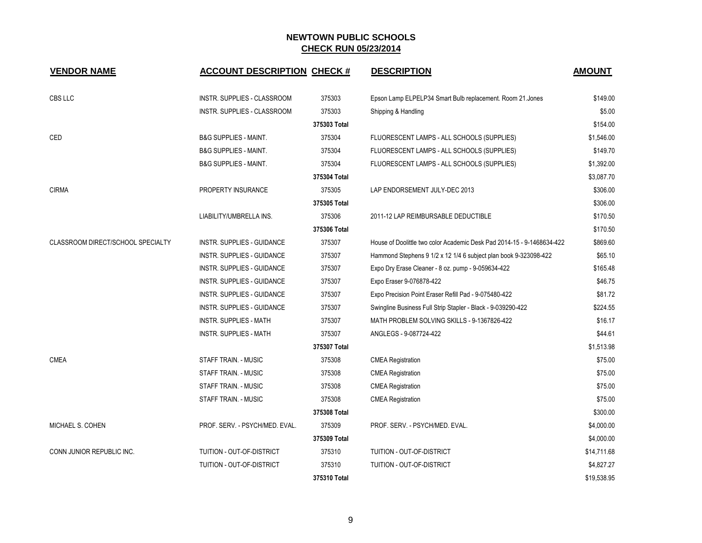| <b>VENDOR NAME</b>                | <b>ACCOUNT DESCRIPTION CHECK #</b> |              | <b>DESCRIPTION</b>                                                     | <b>AMOUNT</b> |
|-----------------------------------|------------------------------------|--------------|------------------------------------------------------------------------|---------------|
| CBS LLC                           | INSTR. SUPPLIES - CLASSROOM        | 375303       | Epson Lamp ELPELP34 Smart Bulb replacement. Room 21. Jones             | \$149.00      |
|                                   | INSTR. SUPPLIES - CLASSROOM        | 375303       | Shipping & Handling                                                    | \$5.00        |
|                                   |                                    | 375303 Total |                                                                        | \$154.00      |
| CED                               | <b>B&amp;G SUPPLIES - MAINT.</b>   | 375304       | FLUORESCENT LAMPS - ALL SCHOOLS (SUPPLIES)                             | \$1,546.00    |
|                                   | <b>B&amp;G SUPPLIES - MAINT.</b>   | 375304       | FLUORESCENT LAMPS - ALL SCHOOLS (SUPPLIES)                             | \$149.70      |
|                                   | <b>B&amp;G SUPPLIES - MAINT.</b>   | 375304       | FLUORESCENT LAMPS - ALL SCHOOLS (SUPPLIES)                             | \$1,392.00    |
|                                   |                                    | 375304 Total |                                                                        | \$3,087.70    |
| <b>CIRMA</b>                      | PROPERTY INSURANCE                 | 375305       | LAP ENDORSEMENT JULY-DEC 2013                                          | \$306.00      |
|                                   |                                    | 375305 Total |                                                                        | \$306.00      |
|                                   | LIABILITY/UMBRELLA INS.            | 375306       | 2011-12 LAP REIMBURSABLE DEDUCTIBLE                                    | \$170.50      |
|                                   |                                    | 375306 Total |                                                                        | \$170.50      |
| CLASSROOM DIRECT/SCHOOL SPECIALTY | INSTR. SUPPLIES - GUIDANCE         | 375307       | House of Doolittle two color Academic Desk Pad 2014-15 - 9-1468634-422 | \$869.60      |
|                                   | INSTR. SUPPLIES - GUIDANCE         | 375307       | Hammond Stephens 9 1/2 x 12 1/4 6 subject plan book 9-323098-422       | \$65.10       |
|                                   | <b>INSTR. SUPPLIES - GUIDANCE</b>  | 375307       | Expo Dry Erase Cleaner - 8 oz. pump - 9-059634-422                     | \$165.48      |
|                                   | <b>INSTR. SUPPLIES - GUIDANCE</b>  | 375307       | Expo Eraser 9-076878-422                                               | \$46.75       |
|                                   | INSTR. SUPPLIES - GUIDANCE         | 375307       | Expo Precision Point Eraser Refill Pad - 9-075480-422                  | \$81.72       |
|                                   | INSTR. SUPPLIES - GUIDANCE         | 375307       | Swingline Business Full Strip Stapler - Black - 9-039290-422           | \$224.55      |
|                                   | <b>INSTR. SUPPLIES - MATH</b>      | 375307       | MATH PROBLEM SOLVING SKILLS - 9-1367826-422                            | \$16.17       |
|                                   | <b>INSTR. SUPPLIES - MATH</b>      | 375307       | ANGLEGS - 9-087724-422                                                 | \$44.61       |
|                                   |                                    | 375307 Total |                                                                        | \$1,513.98    |
| <b>CMEA</b>                       | STAFF TRAIN. - MUSIC               | 375308       | <b>CMEA Registration</b>                                               | \$75.00       |
|                                   | STAFF TRAIN. - MUSIC               | 375308       | <b>CMEA Registration</b>                                               | \$75.00       |
|                                   | <b>STAFF TRAIN. - MUSIC</b>        | 375308       | <b>CMEA Registration</b>                                               | \$75.00       |
|                                   | STAFF TRAIN. - MUSIC               | 375308       | <b>CMEA Registration</b>                                               | \$75.00       |
|                                   |                                    | 375308 Total |                                                                        | \$300.00      |
| MICHAEL S. COHEN                  | PROF. SERV. - PSYCH/MED. EVAL.     | 375309       | PROF. SERV. - PSYCH/MED. EVAL.                                         | \$4,000.00    |
|                                   |                                    | 375309 Total |                                                                        | \$4,000.00    |
| CONN JUNIOR REPUBLIC INC.         | TUITION - OUT-OF-DISTRICT          | 375310       | TUITION - OUT-OF-DISTRICT                                              | \$14,711.68   |
|                                   | TUITION - OUT-OF-DISTRICT          | 375310       | TUITION - OUT-OF-DISTRICT                                              | \$4,827.27    |
|                                   |                                    | 375310 Total |                                                                        | \$19,538.95   |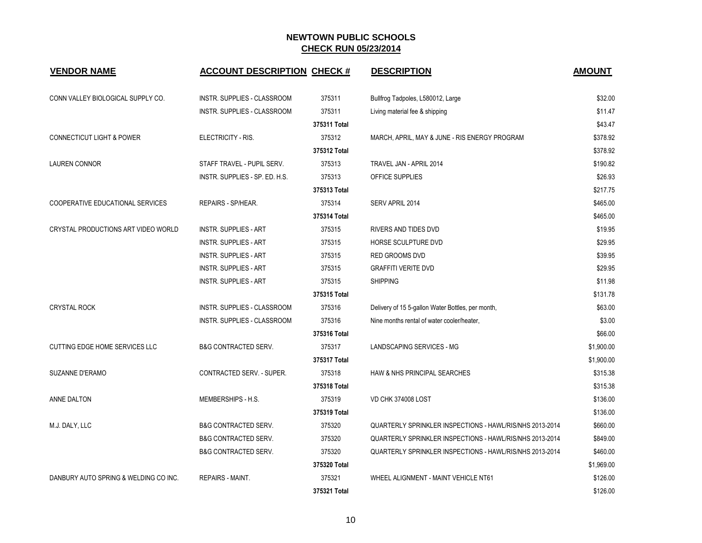| <b>VENDOR NAME</b>                    | <b>ACCOUNT DESCRIPTION CHECK #</b> |              | <b>DESCRIPTION</b>                                       | <b>AMOUNT</b> |
|---------------------------------------|------------------------------------|--------------|----------------------------------------------------------|---------------|
| CONN VALLEY BIOLOGICAL SUPPLY CO.     | INSTR. SUPPLIES - CLASSROOM        | 375311       | Bullfrog Tadpoles, L580012, Large                        | \$32.00       |
|                                       | INSTR. SUPPLIES - CLASSROOM        | 375311       | Living material fee & shipping                           | \$11.47       |
|                                       |                                    | 375311 Total |                                                          | \$43.47       |
| <b>CONNECTICUT LIGHT &amp; POWER</b>  | ELECTRICITY - RIS.                 | 375312       | MARCH, APRIL, MAY & JUNE - RIS ENERGY PROGRAM            | \$378.92      |
|                                       |                                    | 375312 Total |                                                          | \$378.92      |
| <b>LAUREN CONNOR</b>                  | STAFF TRAVEL - PUPIL SERV.         | 375313       | TRAVEL JAN - APRIL 2014                                  | \$190.82      |
|                                       | INSTR. SUPPLIES - SP. ED. H.S.     | 375313       | OFFICE SUPPLIES                                          | \$26.93       |
|                                       |                                    | 375313 Total |                                                          | \$217.75      |
| COOPERATIVE EDUCATIONAL SERVICES      | REPAIRS - SP/HEAR.                 | 375314       | SERV APRIL 2014                                          | \$465.00      |
|                                       |                                    | 375314 Total |                                                          | \$465.00      |
| CRYSTAL PRODUCTIONS ART VIDEO WORLD   | <b>INSTR. SUPPLIES - ART</b>       | 375315       | RIVERS AND TIDES DVD                                     | \$19.95       |
|                                       | <b>INSTR. SUPPLIES - ART</b>       | 375315       | HORSE SCULPTURE DVD                                      | \$29.95       |
|                                       | <b>INSTR. SUPPLIES - ART</b>       | 375315       | RED GROOMS DVD                                           | \$39.95       |
|                                       | <b>INSTR. SUPPLIES - ART</b>       | 375315       | <b>GRAFFITI VERITE DVD</b>                               | \$29.95       |
|                                       | <b>INSTR. SUPPLIES - ART</b>       | 375315       | <b>SHIPPING</b>                                          | \$11.98       |
|                                       |                                    | 375315 Total |                                                          | \$131.78      |
| <b>CRYSTAL ROCK</b>                   | <b>INSTR. SUPPLIES - CLASSROOM</b> | 375316       | Delivery of 15 5-gallon Water Bottles, per month,        | \$63.00       |
|                                       | INSTR. SUPPLIES - CLASSROOM        | 375316       | Nine months rental of water cooler/heater,               | \$3.00        |
|                                       |                                    | 375316 Total |                                                          | \$66.00       |
| CUTTING EDGE HOME SERVICES LLC        | <b>B&amp;G CONTRACTED SERV.</b>    | 375317       | LANDSCAPING SERVICES - MG                                | \$1,900.00    |
|                                       |                                    | 375317 Total |                                                          | \$1,900.00    |
| SUZANNE D'ERAMO                       | <b>CONTRACTED SERV. - SUPER.</b>   | 375318       | HAW & NHS PRINCIPAL SEARCHES                             | \$315.38      |
|                                       |                                    | 375318 Total |                                                          | \$315.38      |
| ANNE DALTON                           | MEMBERSHIPS - H.S.                 | 375319       | <b>VD CHK 374008 LOST</b>                                | \$136.00      |
|                                       |                                    | 375319 Total |                                                          | \$136.00      |
| M.J. DALY, LLC                        | <b>B&amp;G CONTRACTED SERV.</b>    | 375320       | QUARTERLY SPRINKLER INSPECTIONS - HAWL/RIS/NHS 2013-2014 | \$660.00      |
|                                       | <b>B&amp;G CONTRACTED SERV.</b>    | 375320       | QUARTERLY SPRINKLER INSPECTIONS - HAWL/RIS/NHS 2013-2014 | \$849.00      |
|                                       | <b>B&amp;G CONTRACTED SERV.</b>    | 375320       | QUARTERLY SPRINKLER INSPECTIONS - HAWL/RIS/NHS 2013-2014 | \$460.00      |
|                                       |                                    | 375320 Total |                                                          | \$1,969.00    |
| DANBURY AUTO SPRING & WELDING CO INC. | <b>REPAIRS - MAINT.</b>            | 375321       | WHEEL ALIGNMENT - MAINT VEHICLE NT61                     | \$126.00      |
|                                       |                                    | 375321 Total |                                                          | \$126.00      |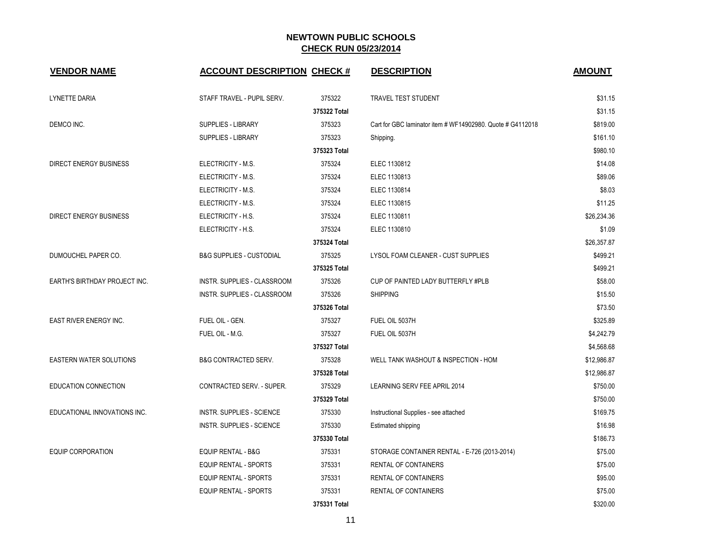| <b>VENDOR NAME</b>             | <b>ACCOUNT DESCRIPTION CHECK #</b>  |              | <b>DESCRIPTION</b>                                         | <b>AMOUNT</b> |
|--------------------------------|-------------------------------------|--------------|------------------------------------------------------------|---------------|
| LYNETTE DARIA                  | STAFF TRAVEL - PUPIL SERV.          | 375322       | TRAVEL TEST STUDENT                                        | \$31.15       |
|                                |                                     | 375322 Total |                                                            | \$31.15       |
| DEMCO INC.                     | <b>SUPPLIES - LIBRARY</b>           | 375323       | Cart for GBC laminator item # WF14902980, Quote # G4112018 | \$819.00      |
|                                | <b>SUPPLIES - LIBRARY</b>           | 375323       | Shipping.                                                  | \$161.10      |
|                                |                                     | 375323 Total |                                                            | \$980.10      |
| <b>DIRECT ENERGY BUSINESS</b>  | ELECTRICITY - M.S.                  | 375324       | ELEC 1130812                                               | \$14.08       |
|                                | ELECTRICITY - M.S.                  | 375324       | ELEC 1130813                                               | \$89.06       |
|                                | ELECTRICITY - M.S.                  | 375324       | ELEC 1130814                                               | \$8.03        |
|                                | ELECTRICITY - M.S.                  | 375324       | ELEC 1130815                                               | \$11.25       |
| <b>DIRECT ENERGY BUSINESS</b>  | ELECTRICITY - H.S.                  | 375324       | ELEC 1130811                                               | \$26.234.36   |
|                                | ELECTRICITY - H.S.                  | 375324       | ELEC 1130810                                               | \$1.09        |
|                                |                                     | 375324 Total |                                                            | \$26,357.87   |
| DUMOUCHEL PAPER CO.            | <b>B&amp;G SUPPLIES - CUSTODIAL</b> | 375325       | LYSOL FOAM CLEANER - CUST SUPPLIES                         | \$499.21      |
|                                |                                     | 375325 Total |                                                            | \$499.21      |
| EARTH'S BIRTHDAY PROJECT INC.  | <b>INSTR. SUPPLIES - CLASSROOM</b>  | 375326       | CUP OF PAINTED LADY BUTTERFLY #PLB                         | \$58.00       |
|                                | INSTR. SUPPLIES - CLASSROOM         | 375326       | <b>SHIPPING</b>                                            | \$15.50       |
|                                |                                     | 375326 Total |                                                            | \$73.50       |
| EAST RIVER ENERGY INC.         | FUEL OIL - GEN.                     | 375327       | FUEL OIL 5037H                                             | \$325.89      |
|                                | FUEL OIL - M.G.                     | 375327       | FUEL OIL 5037H                                             | \$4,242.79    |
|                                |                                     | 375327 Total |                                                            | \$4,568.68    |
| <b>EASTERN WATER SOLUTIONS</b> | <b>B&amp;G CONTRACTED SERV.</b>     | 375328       | WELL TANK WASHOUT & INSPECTION - HOM                       | \$12,986.87   |
|                                |                                     | 375328 Total |                                                            | \$12,986.87   |
| EDUCATION CONNECTION           | CONTRACTED SERV. - SUPER.           | 375329       | LEARNING SERV FEE APRIL 2014                               | \$750.00      |
|                                |                                     | 375329 Total |                                                            | \$750.00      |
| EDUCATIONAL INNOVATIONS INC.   | <b>INSTR. SUPPLIES - SCIENCE</b>    | 375330       | Instructional Supplies - see attached                      | \$169.75      |
|                                | INSTR. SUPPLIES - SCIENCE           | 375330       | Estimated shipping                                         | \$16.98       |
|                                |                                     | 375330 Total |                                                            | \$186.73      |
| <b>EQUIP CORPORATION</b>       | <b>EQUIP RENTAL - B&amp;G</b>       | 375331       | STORAGE CONTAINER RENTAL - E-726 (2013-2014)               | \$75.00       |
|                                | <b>EQUIP RENTAL - SPORTS</b>        | 375331       | <b>RENTAL OF CONTAINERS</b>                                | \$75.00       |
|                                | <b>EQUIP RENTAL - SPORTS</b>        | 375331       | <b>RENTAL OF CONTAINERS</b>                                | \$95.00       |
|                                | <b>EQUIP RENTAL - SPORTS</b>        | 375331       | <b>RENTAL OF CONTAINERS</b>                                | \$75.00       |
|                                |                                     | 375331 Total |                                                            | \$320.00      |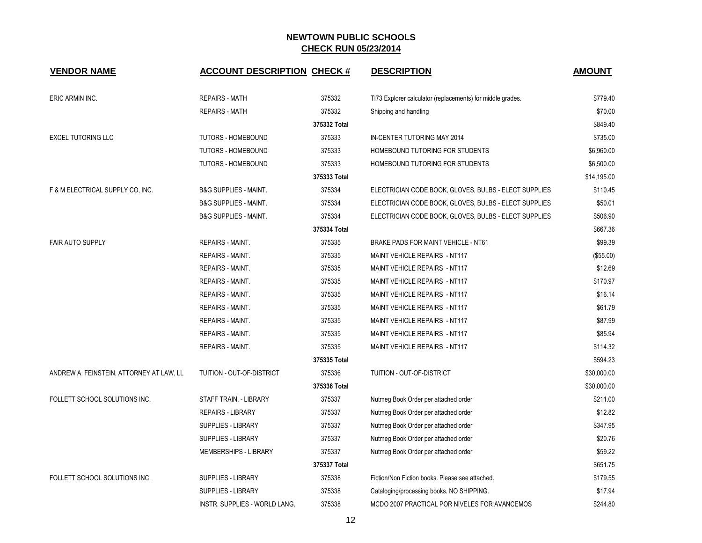| <b>VENDOR NAME</b>                       | <b>ACCOUNT DESCRIPTION CHECK #</b> |              | <b>DESCRIPTION</b>                                         | <b>AMOUNT</b> |
|------------------------------------------|------------------------------------|--------------|------------------------------------------------------------|---------------|
| ERIC ARMIN INC.                          | <b>REPAIRS - MATH</b>              | 375332       | TI73 Explorer calculator (replacements) for middle grades. | \$779.40      |
|                                          | <b>REPAIRS - MATH</b>              | 375332       | Shipping and handling                                      | \$70.00       |
|                                          |                                    | 375332 Total |                                                            | \$849.40      |
| <b>EXCEL TUTORING LLC</b>                | TUTORS - HOMEBOUND                 | 375333       | IN-CENTER TUTORING MAY 2014                                | \$735.00      |
|                                          | TUTORS - HOMEBOUND                 | 375333       | HOMEBOUND TUTORING FOR STUDENTS                            | \$6,960.00    |
|                                          | TUTORS - HOMEBOUND                 | 375333       | HOMEBOUND TUTORING FOR STUDENTS                            | \$6,500.00    |
|                                          |                                    | 375333 Total |                                                            | \$14,195.00   |
| F & M ELECTRICAL SUPPLY CO, INC.         | <b>B&amp;G SUPPLIES - MAINT.</b>   | 375334       | ELECTRICIAN CODE BOOK, GLOVES, BULBS - ELECT SUPPLIES      | \$110.45      |
|                                          | <b>B&amp;G SUPPLIES - MAINT.</b>   | 375334       | ELECTRICIAN CODE BOOK, GLOVES, BULBS - ELECT SUPPLIES      | \$50.01       |
|                                          | <b>B&amp;G SUPPLIES - MAINT.</b>   | 375334       | ELECTRICIAN CODE BOOK, GLOVES, BULBS - ELECT SUPPLIES      | \$506.90      |
|                                          |                                    | 375334 Total |                                                            | \$667.36      |
| <b>FAIR AUTO SUPPLY</b>                  | REPAIRS - MAINT.                   | 375335       | BRAKE PADS FOR MAINT VEHICLE - NT61                        | \$99.39       |
|                                          | REPAIRS - MAINT.                   | 375335       | MAINT VEHICLE REPAIRS - NT117                              | (\$55.00)     |
|                                          | <b>REPAIRS - MAINT.</b>            | 375335       | MAINT VEHICLE REPAIRS - NT117                              | \$12.69       |
|                                          | REPAIRS - MAINT.                   | 375335       | MAINT VEHICLE REPAIRS - NT117                              | \$170.97      |
|                                          | REPAIRS - MAINT.                   | 375335       | MAINT VEHICLE REPAIRS - NT117                              | \$16.14       |
|                                          | REPAIRS - MAINT.                   | 375335       | MAINT VEHICLE REPAIRS - NT117                              | \$61.79       |
|                                          | REPAIRS - MAINT.                   | 375335       | MAINT VEHICLE REPAIRS - NT117                              | \$87.99       |
|                                          | REPAIRS - MAINT.                   | 375335       | MAINT VEHICLE REPAIRS - NT117                              | \$85.94       |
|                                          | REPAIRS - MAINT.                   | 375335       | MAINT VEHICLE REPAIRS - NT117                              | \$114.32      |
|                                          |                                    | 375335 Total |                                                            | \$594.23      |
| ANDREW A. FEINSTEIN, ATTORNEY AT LAW, LL | TUITION - OUT-OF-DISTRICT          | 375336       | TUITION - OUT-OF-DISTRICT                                  | \$30,000.00   |
|                                          |                                    | 375336 Total |                                                            | \$30,000.00   |
| FOLLETT SCHOOL SOLUTIONS INC.            | STAFF TRAIN. - LIBRARY             | 375337       | Nutmeg Book Order per attached order                       | \$211.00      |
|                                          | <b>REPAIRS - LIBRARY</b>           | 375337       | Nutmeg Book Order per attached order                       | \$12.82       |
|                                          | <b>SUPPLIES - LIBRARY</b>          | 375337       | Nutmeg Book Order per attached order                       | \$347.95      |
|                                          | SUPPLIES - LIBRARY                 | 375337       | Nutmeg Book Order per attached order                       | \$20.76       |
|                                          | <b>MEMBERSHIPS - LIBRARY</b>       | 375337       | Nutmeg Book Order per attached order                       | \$59.22       |
|                                          |                                    | 375337 Total |                                                            | \$651.75      |
| FOLLETT SCHOOL SOLUTIONS INC.            | SUPPLIES - LIBRARY                 | 375338       | Fiction/Non Fiction books. Please see attached.            | \$179.55      |
|                                          | SUPPLIES - LIBRARY                 | 375338       | Cataloging/processing books. NO SHIPPING.                  | \$17.94       |
|                                          | INSTR. SUPPLIES - WORLD LANG.      | 375338       | MCDO 2007 PRACTICAL POR NIVELES FOR AVANCEMOS              | \$244.80      |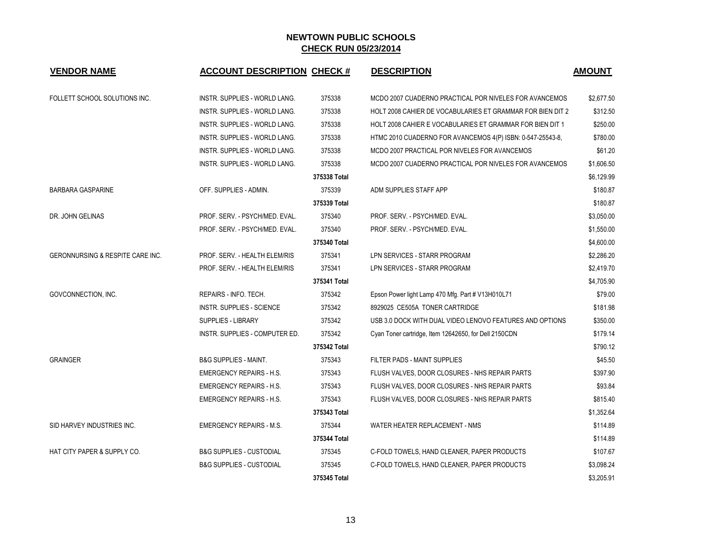| <b>VENDOR NAME</b>               | <b>ACCOUNT DESCRIPTION CHECK #</b>   |              | <b>DESCRIPTION</b>                                         | <b>AMOUNT</b> |
|----------------------------------|--------------------------------------|--------------|------------------------------------------------------------|---------------|
| FOLLETT SCHOOL SOLUTIONS INC.    | INSTR. SUPPLIES - WORLD LANG.        | 375338       | MCDO 2007 CUADERNO PRACTICAL POR NIVELES FOR AVANCEMOS     | \$2,677.50    |
|                                  | INSTR. SUPPLIES - WORLD LANG.        | 375338       | HOLT 2008 CAHIER DE VOCABULARIES ET GRAMMAR FOR BIEN DIT 2 | \$312.50      |
|                                  | INSTR. SUPPLIES - WORLD LANG.        | 375338       | HOLT 2008 CAHIER E VOCABULARIES ET GRAMMAR FOR BIEN DIT 1  | \$250.00      |
|                                  | INSTR. SUPPLIES - WORLD LANG.        | 375338       | HTMC 2010 CUADERNO FOR AVANCEMOS 4(P) ISBN: 0-547-25543-8, | \$780.00      |
|                                  | INSTR. SUPPLIES - WORLD LANG.        | 375338       | MCDO 2007 PRACTICAL POR NIVELES FOR AVANCEMOS              | \$61.20       |
|                                  | <b>INSTR. SUPPLIES - WORLD LANG.</b> | 375338       | MCDO 2007 CUADERNO PRACTICAL POR NIVELES FOR AVANCEMOS     | \$1,606.50    |
|                                  |                                      | 375338 Total |                                                            | \$6,129.99    |
| <b>BARBARA GASPARINE</b>         | OFF. SUPPLIES - ADMIN.               | 375339       | ADM SUPPLIES STAFF APP                                     | \$180.87      |
|                                  |                                      | 375339 Total |                                                            | \$180.87      |
| DR. JOHN GELINAS                 | PROF. SERV. - PSYCH/MED. EVAL.       | 375340       | PROF. SERV. - PSYCH/MED. EVAL.                             | \$3,050.00    |
|                                  | PROF. SERV. - PSYCH/MED. EVAL.       | 375340       | PROF. SERV. - PSYCH/MED. EVAL.                             | \$1,550.00    |
|                                  |                                      | 375340 Total |                                                            | \$4,600.00    |
| GERONNURSING & RESPITE CARE INC. | PROF. SERV. - HEALTH ELEM/RIS        | 375341       | LPN SERVICES - STARR PROGRAM                               | \$2,286.20    |
|                                  | PROF. SERV. - HEALTH ELEM/RIS        | 375341       | LPN SERVICES - STARR PROGRAM                               | \$2,419.70    |
|                                  |                                      | 375341 Total |                                                            | \$4,705.90    |
| GOVCONNECTION, INC.              | REPAIRS - INFO. TECH.                | 375342       | Epson Power light Lamp 470 Mfg. Part # V13H010L71          | \$79.00       |
|                                  | <b>INSTR. SUPPLIES - SCIENCE</b>     | 375342       | 8929025 CE505A TONER CARTRIDGE                             | \$181.98      |
|                                  | <b>SUPPLIES - LIBRARY</b>            | 375342       | USB 3.0 DOCK WITH DUAL VIDEO LENOVO FEATURES AND OPTIONS   | \$350.00      |
|                                  | INSTR. SUPPLIES - COMPUTER ED.       | 375342       | Cyan Toner cartridge, Item 12642650, for Dell 2150CDN      | \$179.14      |
|                                  |                                      | 375342 Total |                                                            | \$790.12      |
| <b>GRAINGER</b>                  | <b>B&amp;G SUPPLIES - MAINT.</b>     | 375343       | FILTER PADS - MAINT SUPPLIES                               | \$45.50       |
|                                  | <b>EMERGENCY REPAIRS - H.S.</b>      | 375343       | FLUSH VALVES, DOOR CLOSURES - NHS REPAIR PARTS             | \$397.90      |
|                                  | <b>EMERGENCY REPAIRS - H.S.</b>      | 375343       | FLUSH VALVES, DOOR CLOSURES - NHS REPAIR PARTS             | \$93.84       |
|                                  | <b>EMERGENCY REPAIRS - H.S.</b>      | 375343       | FLUSH VALVES, DOOR CLOSURES - NHS REPAIR PARTS             | \$815.40      |
|                                  |                                      | 375343 Total |                                                            | \$1,352.64    |
| SID HARVEY INDUSTRIES INC.       | <b>EMERGENCY REPAIRS - M.S.</b>      | 375344       | WATER HEATER REPLACEMENT - NMS                             | \$114.89      |
|                                  |                                      | 375344 Total |                                                            | \$114.89      |
| HAT CITY PAPER & SUPPLY CO.      | <b>B&amp;G SUPPLIES - CUSTODIAL</b>  | 375345       | C-FOLD TOWELS, HAND CLEANER, PAPER PRODUCTS                | \$107.67      |
|                                  | <b>B&amp;G SUPPLIES - CUSTODIAL</b>  | 375345       | C-FOLD TOWELS, HAND CLEANER, PAPER PRODUCTS                | \$3,098.24    |
|                                  |                                      | 375345 Total |                                                            | \$3,205.91    |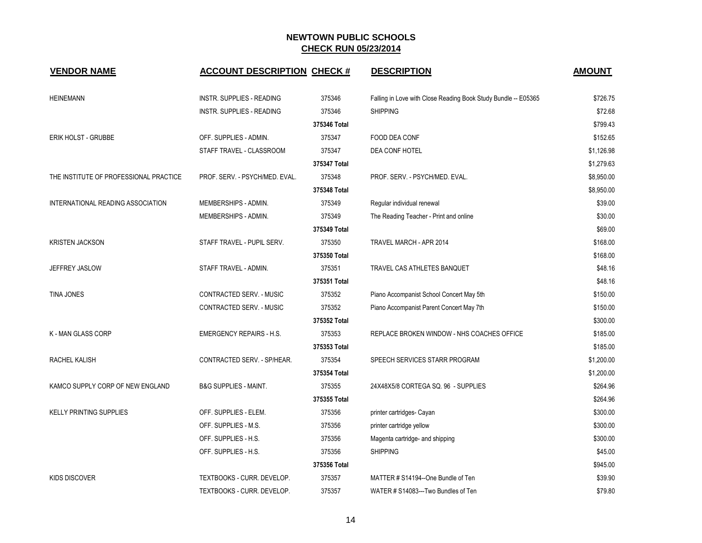| <b>VENDOR NAME</b>                     | <b>ACCOUNT DESCRIPTION CHECK #</b> |              | <b>DESCRIPTION</b>                                             | <b>AMOUNT</b> |
|----------------------------------------|------------------------------------|--------------|----------------------------------------------------------------|---------------|
| <b>HEINEMANN</b>                       | <b>INSTR. SUPPLIES - READING</b>   | 375346       | Falling in Love with Close Reading Book Study Bundle -- E05365 | \$726.75      |
|                                        | <b>INSTR. SUPPLIES - READING</b>   | 375346       | <b>SHIPPING</b>                                                | \$72.68       |
|                                        |                                    | 375346 Total |                                                                | \$799.43      |
| ERIK HOLST - GRUBBE                    | OFF. SUPPLIES - ADMIN.             | 375347       | FOOD DEA CONF                                                  | \$152.65      |
|                                        | STAFF TRAVEL - CLASSROOM           | 375347       | DEA CONF HOTEL                                                 | \$1,126.98    |
|                                        |                                    | 375347 Total |                                                                | \$1,279.63    |
| THE INSTITUTE OF PROFESSIONAL PRACTICE | PROF. SERV. - PSYCH/MED. EVAL.     | 375348       | PROF. SERV. - PSYCH/MED. EVAL.                                 | \$8,950.00    |
|                                        |                                    | 375348 Total |                                                                | \$8,950.00    |
| INTERNATIONAL READING ASSOCIATION      | MEMBERSHIPS - ADMIN.               | 375349       | Regular individual renewal                                     | \$39.00       |
|                                        | MEMBERSHIPS - ADMIN.               | 375349       | The Reading Teacher - Print and online                         | \$30.00       |
|                                        |                                    | 375349 Total |                                                                | \$69.00       |
| <b>KRISTEN JACKSON</b>                 | STAFF TRAVEL - PUPIL SERV.         | 375350       | TRAVEL MARCH - APR 2014                                        | \$168.00      |
|                                        |                                    | 375350 Total |                                                                | \$168.00      |
| JEFFREY JASLOW                         | STAFF TRAVEL - ADMIN.              | 375351       | TRAVEL CAS ATHLETES BANQUET                                    | \$48.16       |
|                                        |                                    | 375351 Total |                                                                | \$48.16       |
| <b>TINA JONES</b>                      | CONTRACTED SERV. - MUSIC           | 375352       | Piano Accompanist School Concert May 5th                       | \$150.00      |
|                                        | CONTRACTED SERV. - MUSIC           | 375352       | Piano Accompanist Parent Concert May 7th                       | \$150.00      |
|                                        |                                    | 375352 Total |                                                                | \$300.00      |
| K - MAN GLASS CORP                     | <b>EMERGENCY REPAIRS - H.S.</b>    | 375353       | REPLACE BROKEN WINDOW - NHS COACHES OFFICE                     | \$185.00      |
|                                        |                                    | 375353 Total |                                                                | \$185.00      |
| <b>RACHEL KALISH</b>                   | CONTRACTED SERV. - SP/HEAR.        | 375354       | SPEECH SERVICES STARR PROGRAM                                  | \$1,200.00    |
|                                        |                                    | 375354 Total |                                                                | \$1,200.00    |
| KAMCO SUPPLY CORP OF NEW ENGLAND       | <b>B&amp;G SUPPLIES - MAINT.</b>   | 375355       | 24X48X5/8 CORTEGA SQ. 96 - SUPPLIES                            | \$264.96      |
|                                        |                                    | 375355 Total |                                                                | \$264.96      |
| <b>KELLY PRINTING SUPPLIES</b>         | OFF. SUPPLIES - ELEM.              | 375356       | printer cartridges- Cayan                                      | \$300.00      |
|                                        | OFF. SUPPLIES - M.S.               | 375356       | printer cartridge yellow                                       | \$300.00      |
|                                        | OFF. SUPPLIES - H.S.               | 375356       | Magenta cartridge- and shipping                                | \$300.00      |
|                                        | OFF. SUPPLIES - H.S.               | 375356       | <b>SHIPPING</b>                                                | \$45.00       |
|                                        |                                    | 375356 Total |                                                                | \$945.00      |
| KIDS DISCOVER                          | TEXTBOOKS - CURR. DEVELOP.         | 375357       | MATTER # S14194--One Bundle of Ten                             | \$39.90       |
|                                        | TEXTBOOKS - CURR. DEVELOP.         | 375357       | WATER # S14083---Two Bundles of Ten                            | \$79.80       |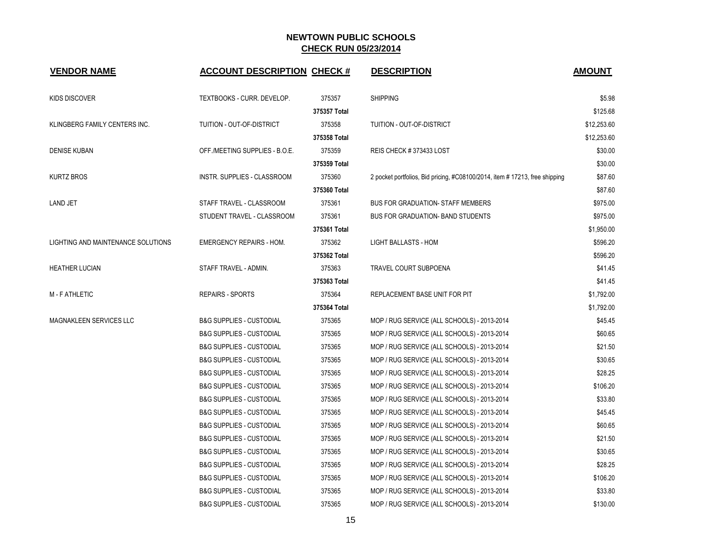| <b>VENDOR NAME</b>                 | <b>ACCOUNT DESCRIPTION CHECK #</b>  |              | <b>DESCRIPTION</b>                                                         | <b>AMOUNT</b> |
|------------------------------------|-------------------------------------|--------------|----------------------------------------------------------------------------|---------------|
| <b>KIDS DISCOVER</b>               | TEXTBOOKS - CURR. DEVELOP.          | 375357       | <b>SHIPPING</b>                                                            | \$5.98        |
|                                    |                                     | 375357 Total |                                                                            | \$125.68      |
| KLINGBERG FAMILY CENTERS INC.      | TUITION - OUT-OF-DISTRICT           | 375358       | TUITION - OUT-OF-DISTRICT                                                  | \$12,253.60   |
|                                    |                                     | 375358 Total |                                                                            | \$12,253.60   |
| <b>DENISE KUBAN</b>                | OFF./MEETING SUPPLIES - B.O.E.      | 375359       | REIS CHECK #373433 LOST                                                    | \$30.00       |
|                                    |                                     | 375359 Total |                                                                            | \$30.00       |
| <b>KURTZ BROS</b>                  | <b>INSTR. SUPPLIES - CLASSROOM</b>  | 375360       | 2 pocket portfolios, Bid pricing, #C08100/2014, item #17213, free shipping | \$87.60       |
|                                    |                                     | 375360 Total |                                                                            | \$87.60       |
| LAND JET                           | STAFF TRAVEL - CLASSROOM            | 375361       | <b>BUS FOR GRADUATION- STAFF MEMBERS</b>                                   | \$975.00      |
|                                    | STUDENT TRAVEL - CLASSROOM          | 375361       | <b>BUS FOR GRADUATION- BAND STUDENTS</b>                                   | \$975.00      |
|                                    |                                     | 375361 Total |                                                                            | \$1,950.00    |
| LIGHTING AND MAINTENANCE SOLUTIONS | <b>EMERGENCY REPAIRS - HOM.</b>     | 375362       | <b>LIGHT BALLASTS - HOM</b>                                                | \$596.20      |
|                                    |                                     | 375362 Total |                                                                            | \$596.20      |
| <b>HEATHER LUCIAN</b>              | STAFF TRAVEL - ADMIN.               | 375363       | <b>TRAVEL COURT SUBPOENA</b>                                               | \$41.45       |
|                                    |                                     | 375363 Total |                                                                            | \$41.45       |
| M - F ATHLETIC                     | <b>REPAIRS - SPORTS</b>             | 375364       | REPLACEMENT BASE UNIT FOR PIT                                              | \$1,792.00    |
|                                    |                                     | 375364 Total |                                                                            | \$1,792.00    |
| MAGNAKLEEN SERVICES LLC            | <b>B&amp;G SUPPLIES - CUSTODIAL</b> | 375365       | MOP / RUG SERVICE (ALL SCHOOLS) - 2013-2014                                | \$45.45       |
|                                    | <b>B&amp;G SUPPLIES - CUSTODIAL</b> | 375365       | MOP / RUG SERVICE (ALL SCHOOLS) - 2013-2014                                | \$60.65       |
|                                    | <b>B&amp;G SUPPLIES - CUSTODIAL</b> | 375365       | MOP / RUG SERVICE (ALL SCHOOLS) - 2013-2014                                | \$21.50       |
|                                    | <b>B&amp;G SUPPLIES - CUSTODIAL</b> | 375365       | MOP / RUG SERVICE (ALL SCHOOLS) - 2013-2014                                | \$30.65       |
|                                    | <b>B&amp;G SUPPLIES - CUSTODIAL</b> | 375365       | MOP / RUG SERVICE (ALL SCHOOLS) - 2013-2014                                | \$28.25       |
|                                    | <b>B&amp;G SUPPLIES - CUSTODIAL</b> | 375365       | MOP / RUG SERVICE (ALL SCHOOLS) - 2013-2014                                | \$106.20      |
|                                    | <b>B&amp;G SUPPLIES - CUSTODIAL</b> | 375365       | MOP / RUG SERVICE (ALL SCHOOLS) - 2013-2014                                | \$33.80       |
|                                    | <b>B&amp;G SUPPLIES - CUSTODIAL</b> | 375365       | MOP / RUG SERVICE (ALL SCHOOLS) - 2013-2014                                | \$45.45       |
|                                    | <b>B&amp;G SUPPLIES - CUSTODIAL</b> | 375365       | MOP / RUG SERVICE (ALL SCHOOLS) - 2013-2014                                | \$60.65       |
|                                    | <b>B&amp;G SUPPLIES - CUSTODIAL</b> | 375365       | MOP / RUG SERVICE (ALL SCHOOLS) - 2013-2014                                | \$21.50       |
|                                    | <b>B&amp;G SUPPLIES - CUSTODIAL</b> | 375365       | MOP / RUG SERVICE (ALL SCHOOLS) - 2013-2014                                | \$30.65       |
|                                    | <b>B&amp;G SUPPLIES - CUSTODIAL</b> | 375365       | MOP / RUG SERVICE (ALL SCHOOLS) - 2013-2014                                | \$28.25       |
|                                    | <b>B&amp;G SUPPLIES - CUSTODIAL</b> | 375365       | MOP / RUG SERVICE (ALL SCHOOLS) - 2013-2014                                | \$106.20      |
|                                    | <b>B&amp;G SUPPLIES - CUSTODIAL</b> | 375365       | MOP / RUG SERVICE (ALL SCHOOLS) - 2013-2014                                | \$33.80       |
|                                    | <b>B&amp;G SUPPLIES - CUSTODIAL</b> | 375365       | MOP / RUG SERVICE (ALL SCHOOLS) - 2013-2014                                | \$130.00      |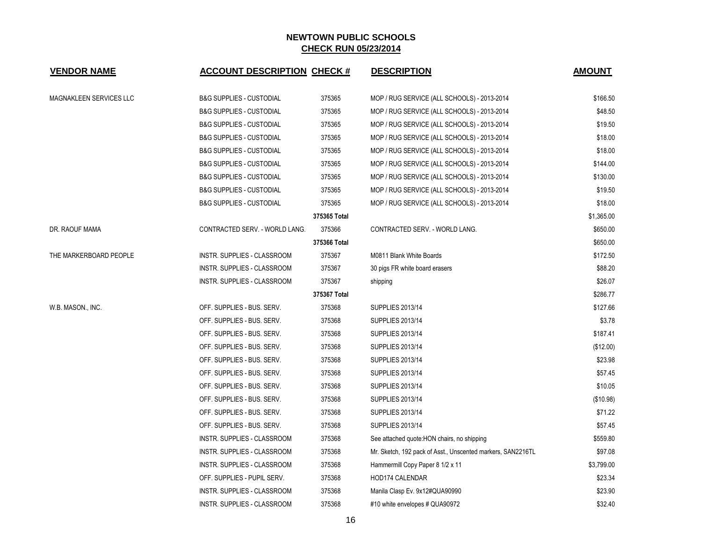| <b>VENDOR NAME</b>      | <b>ACCOUNT DESCRIPTION CHECK #</b>  |              | <b>DESCRIPTION</b>                                          | <b>AMOUNT</b> |
|-------------------------|-------------------------------------|--------------|-------------------------------------------------------------|---------------|
| MAGNAKLEEN SERVICES LLC | <b>B&amp;G SUPPLIES - CUSTODIAL</b> | 375365       | MOP / RUG SERVICE (ALL SCHOOLS) - 2013-2014                 | \$166.50      |
|                         | <b>B&amp;G SUPPLIES - CUSTODIAL</b> | 375365       | MOP / RUG SERVICE (ALL SCHOOLS) - 2013-2014                 | \$48.50       |
|                         | <b>B&amp;G SUPPLIES - CUSTODIAL</b> | 375365       | MOP / RUG SERVICE (ALL SCHOOLS) - 2013-2014                 | \$19.50       |
|                         | <b>B&amp;G SUPPLIES - CUSTODIAL</b> | 375365       | MOP / RUG SERVICE (ALL SCHOOLS) - 2013-2014                 | \$18.00       |
|                         | <b>B&amp;G SUPPLIES - CUSTODIAL</b> | 375365       | MOP / RUG SERVICE (ALL SCHOOLS) - 2013-2014                 | \$18.00       |
|                         | <b>B&amp;G SUPPLIES - CUSTODIAL</b> | 375365       | MOP / RUG SERVICE (ALL SCHOOLS) - 2013-2014                 | \$144.00      |
|                         | <b>B&amp;G SUPPLIES - CUSTODIAL</b> | 375365       | MOP / RUG SERVICE (ALL SCHOOLS) - 2013-2014                 | \$130.00      |
|                         | <b>B&amp;G SUPPLIES - CUSTODIAL</b> | 375365       | MOP / RUG SERVICE (ALL SCHOOLS) - 2013-2014                 | \$19.50       |
|                         | <b>B&amp;G SUPPLIES - CUSTODIAL</b> | 375365       | MOP / RUG SERVICE (ALL SCHOOLS) - 2013-2014                 | \$18.00       |
|                         |                                     | 375365 Total |                                                             | \$1,365.00    |
| DR. RAOUF MAMA          | CONTRACTED SERV. - WORLD LANG.      | 375366       | CONTRACTED SERV. - WORLD LANG.                              | \$650.00      |
|                         |                                     | 375366 Total |                                                             | \$650.00      |
| THE MARKERBOARD PEOPLE  | INSTR. SUPPLIES - CLASSROOM         | 375367       | M0811 Blank White Boards                                    | \$172.50      |
|                         | INSTR. SUPPLIES - CLASSROOM         | 375367       | 30 pigs FR white board erasers                              | \$88.20       |
|                         | INSTR. SUPPLIES - CLASSROOM         | 375367       | shipping                                                    | \$26.07       |
|                         |                                     | 375367 Total |                                                             | \$286.77      |
| W.B. MASON., INC.       | OFF. SUPPLIES - BUS. SERV.          | 375368       | <b>SUPPLIES 2013/14</b>                                     | \$127.66      |
|                         | OFF. SUPPLIES - BUS. SERV.          | 375368       | <b>SUPPLIES 2013/14</b>                                     | \$3.78        |
|                         | OFF. SUPPLIES - BUS. SERV.          | 375368       | <b>SUPPLIES 2013/14</b>                                     | \$187.41      |
|                         | OFF. SUPPLIES - BUS. SERV.          | 375368       | <b>SUPPLIES 2013/14</b>                                     | (\$12.00)     |
|                         | OFF. SUPPLIES - BUS. SERV.          | 375368       | <b>SUPPLIES 2013/14</b>                                     | \$23.98       |
|                         | OFF. SUPPLIES - BUS. SERV.          | 375368       | <b>SUPPLIES 2013/14</b>                                     | \$57.45       |
|                         | OFF. SUPPLIES - BUS. SERV.          | 375368       | <b>SUPPLIES 2013/14</b>                                     | \$10.05       |
|                         | OFF. SUPPLIES - BUS. SERV.          | 375368       | <b>SUPPLIES 2013/14</b>                                     | (\$10.98)     |
|                         | OFF. SUPPLIES - BUS. SERV.          | 375368       | <b>SUPPLIES 2013/14</b>                                     | \$71.22       |
|                         | OFF. SUPPLIES - BUS. SERV.          | 375368       | <b>SUPPLIES 2013/14</b>                                     | \$57.45       |
|                         | INSTR. SUPPLIES - CLASSROOM         | 375368       | See attached quote: HON chairs, no shipping                 | \$559.80      |
|                         | INSTR. SUPPLIES - CLASSROOM         | 375368       | Mr. Sketch, 192 pack of Asst., Unscented markers, SAN2216TL | \$97.08       |
|                         | INSTR. SUPPLIES - CLASSROOM         | 375368       | Hammermill Copy Paper 8 1/2 x 11                            | \$3,799.00    |
|                         | OFF. SUPPLIES - PUPIL SERV.         | 375368       | HOD174 CALENDAR                                             | \$23.34       |
|                         | INSTR. SUPPLIES - CLASSROOM         | 375368       | Manila Clasp Ev. 9x12#QUA90990                              | \$23.90       |
|                         | INSTR. SUPPLIES - CLASSROOM         | 375368       | #10 white envelopes # QUA90972                              | \$32.40       |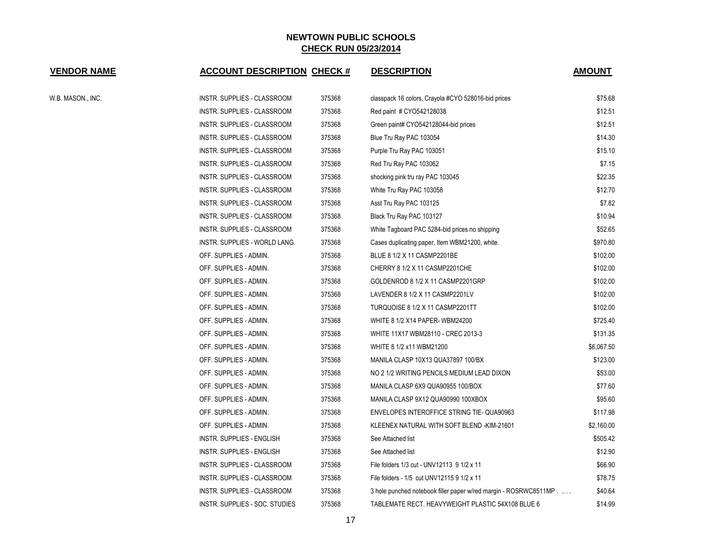| <b>VENDOR NAME</b> | <b>ACCOUNT DESCRIPTION CHECK #</b> |        | <b>DESCRIPTION</b>                                               | <b>AMOUNT</b> |
|--------------------|------------------------------------|--------|------------------------------------------------------------------|---------------|
| W.B. MASON., INC.  | INSTR. SUPPLIES - CLASSROOM        | 375368 | classpack 16 colors, Crayola #CYO 528016-bid prices              | \$75.68       |
|                    | INSTR. SUPPLIES - CLASSROOM        | 375368 | Red paint # CYO542128038                                         | \$12.51       |
|                    | INSTR. SUPPLIES - CLASSROOM        | 375368 | Green paint# CYO542128044-bid prices                             | \$12.51       |
|                    | INSTR. SUPPLIES - CLASSROOM        | 375368 | Blue Tru Ray PAC 103054                                          | \$14.30       |
|                    | INSTR. SUPPLIES - CLASSROOM        | 375368 | Purple Tru Ray PAC 103051                                        | \$15.10       |
|                    | INSTR. SUPPLIES - CLASSROOM        | 375368 | Red Tru Ray PAC 103062                                           | \$7.15        |
|                    | INSTR. SUPPLIES - CLASSROOM        | 375368 | shocking pink tru ray PAC 103045                                 | \$22.35       |
|                    | INSTR. SUPPLIES - CLASSROOM        | 375368 | White Tru Ray PAC 103058                                         | \$12.70       |
|                    | INSTR. SUPPLIES - CLASSROOM        | 375368 | Asst Tru Ray PAC 103125                                          | \$7.82        |
|                    | INSTR. SUPPLIES - CLASSROOM        | 375368 | Black Tru Ray PAC 103127                                         | \$10.94       |
|                    | INSTR. SUPPLIES - CLASSROOM        | 375368 | White Tagboard PAC 5284-bid prices no shipping                   | \$52.65       |
|                    | INSTR. SUPPLIES - WORLD LANG.      | 375368 | Cases duplicating paper, Item WBM21200, white.                   | \$970.80      |
|                    | OFF. SUPPLIES - ADMIN.             | 375368 | BLUE 8 1/2 X 11 CASMP2201BE                                      | \$102.00      |
|                    | OFF. SUPPLIES - ADMIN.             | 375368 | CHERRY 8 1/2 X 11 CASMP2201CHE                                   | \$102.00      |
|                    | OFF. SUPPLIES - ADMIN.             | 375368 | GOLDENROD 8 1/2 X 11 CASMP2201GRP                                | \$102.00      |
|                    | OFF. SUPPLIES - ADMIN.             | 375368 | LAVENDER 8 1/2 X 11 CASMP2201LV                                  | \$102.00      |
|                    | OFF. SUPPLIES - ADMIN.             | 375368 | TURQUOISE 8 1/2 X 11 CASMP2201TT                                 | \$102.00      |
|                    | OFF. SUPPLIES - ADMIN.             | 375368 | WHITE 8 1/2 X14 PAPER-WBM24200                                   | \$725.40      |
|                    | OFF. SUPPLIES - ADMIN.             | 375368 | WHITE 11X17 WBM28110 - CREC 2013-3                               | \$131.35      |
|                    | OFF. SUPPLIES - ADMIN.             | 375368 | WHITE 8 1/2 x11 WBM21200                                         | \$6,067.50    |
|                    | OFF. SUPPLIES - ADMIN.             | 375368 | MANILA CLASP 10X13 QUA37897 100/BX                               | \$123.00      |
|                    | OFF. SUPPLIES - ADMIN.             | 375368 | NO 2 1/2 WRITING PENCILS MEDIUM LEAD DIXON                       | \$53.00       |
|                    | OFF. SUPPLIES - ADMIN.             | 375368 | MANILA CLASP 6X9 QUA90955 100/BOX                                | \$77.60       |
|                    | OFF. SUPPLIES - ADMIN.             | 375368 | MANILA CLASP 9X12 QUA90990 100XBOX                               | \$95.60       |
|                    | OFF. SUPPLIES - ADMIN.             | 375368 | ENVELOPES INTEROFFICE STRING TIE-QUA90963                        | \$117.98      |
|                    | OFF. SUPPLIES - ADMIN.             | 375368 | KLEENEX NATURAL WITH SOFT BLEND -KIM-21601                       | \$2,160.00    |
|                    | INSTR. SUPPLIES - ENGLISH          | 375368 | See Attached list                                                | \$505.42      |
|                    | INSTR. SUPPLIES - ENGLISH          | 375368 | See Attached list                                                | \$12.90       |
|                    | INSTR. SUPPLIES - CLASSROOM        | 375368 | File folders 1/3 cut - UNV12113 9 1/2 x 11                       | \$66.90       |
|                    | INSTR. SUPPLIES - CLASSROOM        | 375368 | File folders - 1/5 cut UNV12115 9 1/2 x 11                       | \$78.75       |
|                    | INSTR. SUPPLIES - CLASSROOM        | 375368 | 3 hole punched notebook filler paper w/red margin - ROSRWC8511MP | \$40.64       |
|                    | INSTR. SUPPLIES - SOC. STUDIES     | 375368 | TABLEMATE RECT. HEAVYWEIGHT PLASTIC 54X108 BLUE 6                | \$14.99       |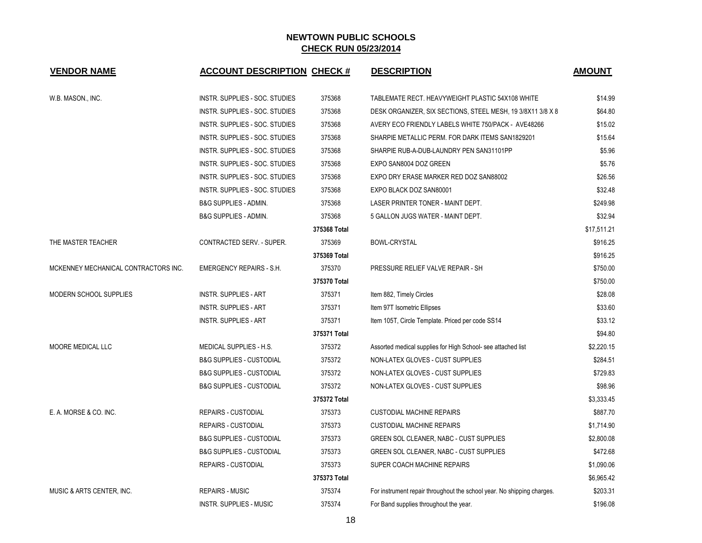| <b>VENDOR NAME</b>                   | <b>ACCOUNT DESCRIPTION CHECK #</b>  |              | <b>DESCRIPTION</b>                                                     | <b>AMOUNT</b> |
|--------------------------------------|-------------------------------------|--------------|------------------------------------------------------------------------|---------------|
| W.B. MASON., INC.                    | INSTR. SUPPLIES - SOC. STUDIES      | 375368       | TABLEMATE RECT. HEAVYWEIGHT PLASTIC 54X108 WHITE                       | \$14.99       |
|                                      | INSTR. SUPPLIES - SOC. STUDIES      | 375368       | DESK ORGANIZER, SIX SECTIONS, STEEL MESH, 19 3/8X11 3/8 X 8            | \$64.80       |
|                                      | INSTR. SUPPLIES - SOC. STUDIES      | 375368       | AVERY ECO FRIENDLY LABELS WHITE 750/PACK - AVE48266                    | \$15.02       |
|                                      | INSTR. SUPPLIES - SOC. STUDIES      | 375368       | SHARPIE METALLIC PERM. FOR DARK ITEMS SAN1829201                       | \$15.64       |
|                                      | INSTR. SUPPLIES - SOC. STUDIES      | 375368       | SHARPIE RUB-A-DUB-LAUNDRY PEN SAN31101PP                               | \$5.96        |
|                                      | INSTR. SUPPLIES - SOC. STUDIES      | 375368       | EXPO SAN8004 DOZ GREEN                                                 | \$5.76        |
|                                      | INSTR. SUPPLIES - SOC. STUDIES      | 375368       | EXPO DRY ERASE MARKER RED DOZ SAN88002                                 | \$26.56       |
|                                      | INSTR. SUPPLIES - SOC. STUDIES      | 375368       | EXPO BLACK DOZ SAN80001                                                | \$32.48       |
|                                      | B&G SUPPLIES - ADMIN.               | 375368       | LASER PRINTER TONER - MAINT DEPT.                                      | \$249.98      |
|                                      | <b>B&amp;G SUPPLIES - ADMIN.</b>    | 375368       | 5 GALLON JUGS WATER - MAINT DEPT.                                      | \$32.94       |
|                                      |                                     | 375368 Total |                                                                        | \$17,511.21   |
| THE MASTER TEACHER                   | CONTRACTED SERV. - SUPER.           | 375369       | <b>BOWL-CRYSTAL</b>                                                    | \$916.25      |
|                                      |                                     | 375369 Total |                                                                        | \$916.25      |
| MCKENNEY MECHANICAL CONTRACTORS INC. | <b>EMERGENCY REPAIRS - S.H.</b>     | 375370       | PRESSURE RELIEF VALVE REPAIR - SH                                      | \$750.00      |
|                                      |                                     | 375370 Total |                                                                        | \$750.00      |
| MODERN SCHOOL SUPPLIES               | <b>INSTR. SUPPLIES - ART</b>        | 375371       | Item 882, Timely Circles                                               | \$28.08       |
|                                      | <b>INSTR. SUPPLIES - ART</b>        | 375371       | Item 97T Isometric Ellipses                                            | \$33.60       |
|                                      | <b>INSTR. SUPPLIES - ART</b>        | 375371       | Item 105T, Circle Template. Priced per code SS14                       | \$33.12       |
|                                      |                                     | 375371 Total |                                                                        | \$94.80       |
| <b>MOORE MEDICAL LLC</b>             | MEDICAL SUPPLIES - H.S.             | 375372       | Assorted medical supplies for High School- see attached list           | \$2,220.15    |
|                                      | <b>B&amp;G SUPPLIES - CUSTODIAL</b> | 375372       | NON-LATEX GLOVES - CUST SUPPLIES                                       | \$284.51      |
|                                      | <b>B&amp;G SUPPLIES - CUSTODIAL</b> | 375372       | NON-LATEX GLOVES - CUST SUPPLIES                                       | \$729.83      |
|                                      | <b>B&amp;G SUPPLIES - CUSTODIAL</b> | 375372       | NON-LATEX GLOVES - CUST SUPPLIES                                       | \$98.96       |
|                                      |                                     | 375372 Total |                                                                        | \$3,333.45    |
| E. A. MORSE & CO. INC.               | <b>REPAIRS - CUSTODIAL</b>          | 375373       | <b>CUSTODIAL MACHINE REPAIRS</b>                                       | \$887.70      |
|                                      | <b>REPAIRS - CUSTODIAL</b>          | 375373       | <b>CUSTODIAL MACHINE REPAIRS</b>                                       | \$1,714.90    |
|                                      | <b>B&amp;G SUPPLIES - CUSTODIAL</b> | 375373       | GREEN SOL CLEANER, NABC - CUST SUPPLIES                                | \$2,800.08    |
|                                      | <b>B&amp;G SUPPLIES - CUSTODIAL</b> | 375373       | GREEN SOL CLEANER, NABC - CUST SUPPLIES                                | \$472.68      |
|                                      | REPAIRS - CUSTODIAL                 | 375373       | SUPER COACH MACHINE REPAIRS                                            | \$1,090.06    |
|                                      |                                     | 375373 Total |                                                                        | \$6,965.42    |
| MUSIC & ARTS CENTER, INC.            | <b>REPAIRS - MUSIC</b>              | 375374       | For instrument repair throughout the school year. No shipping charges. | \$203.31      |
|                                      | <b>INSTR. SUPPLIES - MUSIC</b>      | 375374       | For Band supplies throughout the year.                                 | \$196.08      |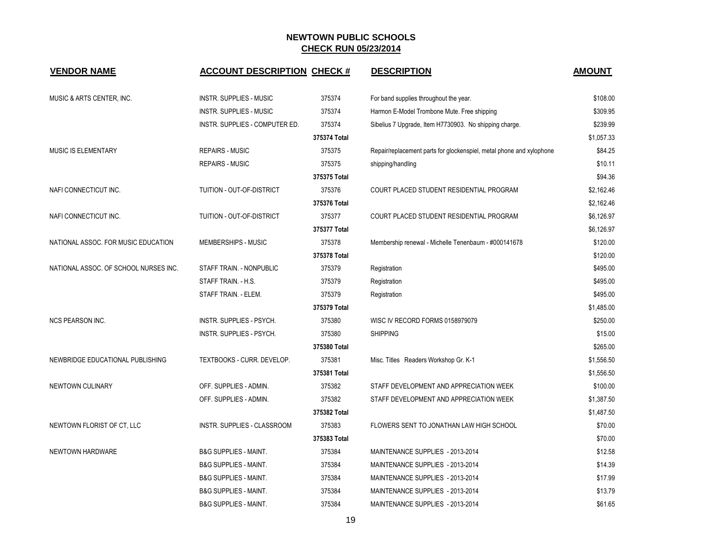| <b>VENDOR NAME</b>                    | <b>ACCOUNT DESCRIPTION CHECK #</b> |              | <b>DESCRIPTION</b>                                                   | <b>AMOUNT</b> |
|---------------------------------------|------------------------------------|--------------|----------------------------------------------------------------------|---------------|
| MUSIC & ARTS CENTER, INC.             | <b>INSTR. SUPPLIES - MUSIC</b>     | 375374       | For band supplies throughout the year.                               | \$108.00      |
|                                       | <b>INSTR. SUPPLIES - MUSIC</b>     | 375374       | Harmon E-Model Trombone Mute. Free shipping                          | \$309.95      |
|                                       | INSTR. SUPPLIES - COMPUTER ED.     | 375374       | Sibelius 7 Upgrade, Item H7730903. No shipping charge.               | \$239.99      |
|                                       |                                    | 375374 Total |                                                                      | \$1,057.33    |
| MUSIC IS ELEMENTARY                   | <b>REPAIRS - MUSIC</b>             | 375375       | Repair/replacement parts for glockenspiel, metal phone and xylophone | \$84.25       |
|                                       | <b>REPAIRS - MUSIC</b>             | 375375       | shipping/handling                                                    | \$10.11       |
|                                       |                                    | 375375 Total |                                                                      | \$94.36       |
| NAFI CONNECTICUT INC.                 | TUITION - OUT-OF-DISTRICT          | 375376       | COURT PLACED STUDENT RESIDENTIAL PROGRAM                             | \$2,162.46    |
|                                       |                                    | 375376 Total |                                                                      | \$2,162.46    |
| NAFI CONNECTICUT INC.                 | TUITION - OUT-OF-DISTRICT          | 375377       | COURT PLACED STUDENT RESIDENTIAL PROGRAM                             | \$6,126.97    |
|                                       |                                    | 375377 Total |                                                                      | \$6,126.97    |
| NATIONAL ASSOC. FOR MUSIC EDUCATION   | <b>MEMBERSHIPS - MUSIC</b>         | 375378       | Membership renewal - Michelle Tenenbaum - #000141678                 | \$120.00      |
|                                       |                                    | 375378 Total |                                                                      | \$120.00      |
| NATIONAL ASSOC. OF SCHOOL NURSES INC. | STAFF TRAIN. - NONPUBLIC           | 375379       | Registration                                                         | \$495.00      |
|                                       | STAFF TRAIN. - H.S.                | 375379       | Registration                                                         | \$495.00      |
|                                       | STAFF TRAIN. - ELEM.               | 375379       | Registration                                                         | \$495.00      |
|                                       |                                    | 375379 Total |                                                                      | \$1,485.00    |
| <b>NCS PEARSON INC.</b>               | INSTR. SUPPLIES - PSYCH.           | 375380       | WISC IV RECORD FORMS 0158979079                                      | \$250.00      |
|                                       | INSTR. SUPPLIES - PSYCH.           | 375380       | <b>SHIPPING</b>                                                      | \$15.00       |
|                                       |                                    | 375380 Total |                                                                      | \$265.00      |
| NEWBRIDGE EDUCATIONAL PUBLISHING      | TEXTBOOKS - CURR. DEVELOP.         | 375381       | Misc. Titles Readers Workshop Gr. K-1                                | \$1,556.50    |
|                                       |                                    | 375381 Total |                                                                      | \$1,556.50    |
| NEWTOWN CULINARY                      | OFF. SUPPLIES - ADMIN.             | 375382       | STAFF DEVELOPMENT AND APPRECIATION WEEK                              | \$100.00      |
|                                       | OFF. SUPPLIES - ADMIN.             | 375382       | STAFF DEVELOPMENT AND APPRECIATION WEEK                              | \$1,387.50    |
|                                       |                                    | 375382 Total |                                                                      | \$1,487.50    |
| NEWTOWN FLORIST OF CT, LLC            | INSTR. SUPPLIES - CLASSROOM        | 375383       | FLOWERS SENT TO JONATHAN LAW HIGH SCHOOL                             | \$70.00       |
|                                       |                                    | 375383 Total |                                                                      | \$70.00       |
| NEWTOWN HARDWARE                      | <b>B&amp;G SUPPLIES - MAINT.</b>   | 375384       | MAINTENANCE SUPPLIES - 2013-2014                                     | \$12.58       |
|                                       | <b>B&amp;G SUPPLIES - MAINT.</b>   | 375384       | MAINTENANCE SUPPLIES - 2013-2014                                     | \$14.39       |
|                                       | B&G SUPPLIES - MAINT.              | 375384       | MAINTENANCE SUPPLIES - 2013-2014                                     | \$17.99       |
|                                       | <b>B&amp;G SUPPLIES - MAINT.</b>   | 375384       | MAINTENANCE SUPPLIES - 2013-2014                                     | \$13.79       |
|                                       | <b>B&amp;G SUPPLIES - MAINT.</b>   | 375384       | MAINTENANCE SUPPLIES - 2013-2014                                     | \$61.65       |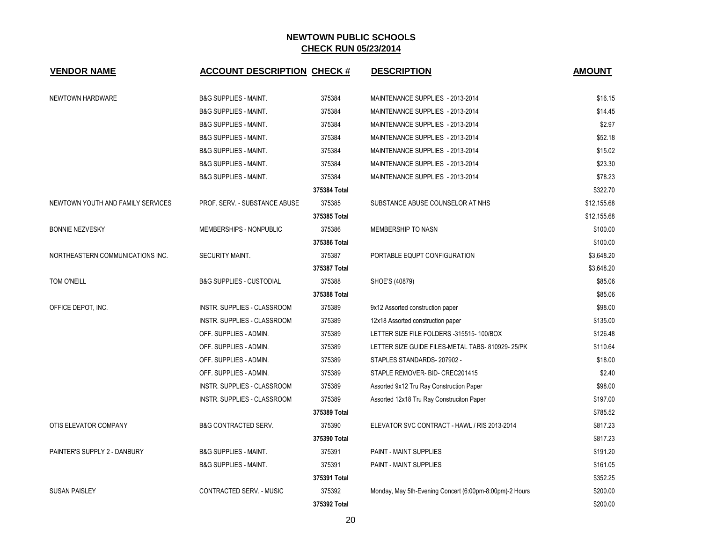| <b>VENDOR NAME</b>                | <b>ACCOUNT DESCRIPTION CHECK #</b>  |              | <b>DESCRIPTION</b>                                      | <b>AMOUNT</b> |
|-----------------------------------|-------------------------------------|--------------|---------------------------------------------------------|---------------|
| NEWTOWN HARDWARE                  | <b>B&amp;G SUPPLIES - MAINT.</b>    | 375384       | MAINTENANCE SUPPLIES - 2013-2014                        | \$16.15       |
|                                   | <b>B&amp;G SUPPLIES - MAINT.</b>    | 375384       | MAINTENANCE SUPPLIES - 2013-2014                        | \$14.45       |
|                                   | <b>B&amp;G SUPPLIES - MAINT.</b>    | 375384       | MAINTENANCE SUPPLIES - 2013-2014                        | \$2.97        |
|                                   | <b>B&amp;G SUPPLIES - MAINT.</b>    | 375384       | MAINTENANCE SUPPLIES - 2013-2014                        | \$52.18       |
|                                   | <b>B&amp;G SUPPLIES - MAINT.</b>    | 375384       | MAINTENANCE SUPPLIES - 2013-2014                        | \$15.02       |
|                                   | <b>B&amp;G SUPPLIES - MAINT.</b>    | 375384       | MAINTENANCE SUPPLIES - 2013-2014                        | \$23.30       |
|                                   | <b>B&amp;G SUPPLIES - MAINT.</b>    | 375384       | MAINTENANCE SUPPLIES - 2013-2014                        | \$78.23       |
|                                   |                                     | 375384 Total |                                                         | \$322.70      |
| NEWTOWN YOUTH AND FAMILY SERVICES | PROF. SERV. - SUBSTANCE ABUSE       | 375385       | SUBSTANCE ABUSE COUNSELOR AT NHS                        | \$12,155.68   |
|                                   |                                     | 375385 Total |                                                         | \$12,155.68   |
| <b>BONNIE NEZVESKY</b>            | MEMBERSHIPS - NONPUBLIC             | 375386       | MEMBERSHIP TO NASN                                      | \$100.00      |
|                                   |                                     | 375386 Total |                                                         | \$100.00      |
| NORTHEASTERN COMMUNICATIONS INC.  | SECURITY MAINT.                     | 375387       | PORTABLE EQUPT CONFIGURATION                            | \$3,648.20    |
|                                   |                                     | 375387 Total |                                                         | \$3,648.20    |
| TOM O'NEILL                       | <b>B&amp;G SUPPLIES - CUSTODIAL</b> | 375388       | SHOE'S (40879)                                          | \$85.06       |
|                                   |                                     | 375388 Total |                                                         | \$85.06       |
| OFFICE DEPOT, INC.                | INSTR. SUPPLIES - CLASSROOM         | 375389       | 9x12 Assorted construction paper                        | \$98.00       |
|                                   | INSTR. SUPPLIES - CLASSROOM         | 375389       | 12x18 Assorted construction paper                       | \$135.00      |
|                                   | OFF. SUPPLIES - ADMIN.              | 375389       | LETTER SIZE FILE FOLDERS -315515-100/BOX                | \$126.48      |
|                                   | OFF. SUPPLIES - ADMIN.              | 375389       | LETTER SIZE GUIDE FILES-METAL TABS- 810929-25/PK        | \$110.64      |
|                                   | OFF. SUPPLIES - ADMIN.              | 375389       | STAPLES STANDARDS-207902 -                              | \$18.00       |
|                                   | OFF. SUPPLIES - ADMIN.              | 375389       | STAPLE REMOVER- BID- CREC201415                         | \$2.40        |
|                                   | INSTR. SUPPLIES - CLASSROOM         | 375389       | Assorted 9x12 Tru Ray Construction Paper                | \$98.00       |
|                                   | INSTR. SUPPLIES - CLASSROOM         | 375389       | Assorted 12x18 Tru Ray Construciton Paper               | \$197.00      |
|                                   |                                     | 375389 Total |                                                         | \$785.52      |
| OTIS ELEVATOR COMPANY             | <b>B&amp;G CONTRACTED SERV.</b>     | 375390       | ELEVATOR SVC CONTRACT - HAWL / RIS 2013-2014            | \$817.23      |
|                                   |                                     | 375390 Total |                                                         | \$817.23      |
| PAINTER'S SUPPLY 2 - DANBURY      | <b>B&amp;G SUPPLIES - MAINT.</b>    | 375391       | <b>PAINT - MAINT SUPPLIES</b>                           | \$191.20      |
|                                   | B&G SUPPLIES - MAINT.               | 375391       | PAINT - MAINT SUPPLIES                                  | \$161.05      |
|                                   |                                     | 375391 Total |                                                         | \$352.25      |
| <b>SUSAN PAISLEY</b>              | CONTRACTED SERV. - MUSIC            | 375392       | Monday, May 5th-Evening Concert (6:00pm-8:00pm)-2 Hours | \$200.00      |
|                                   |                                     | 375392 Total |                                                         | \$200.00      |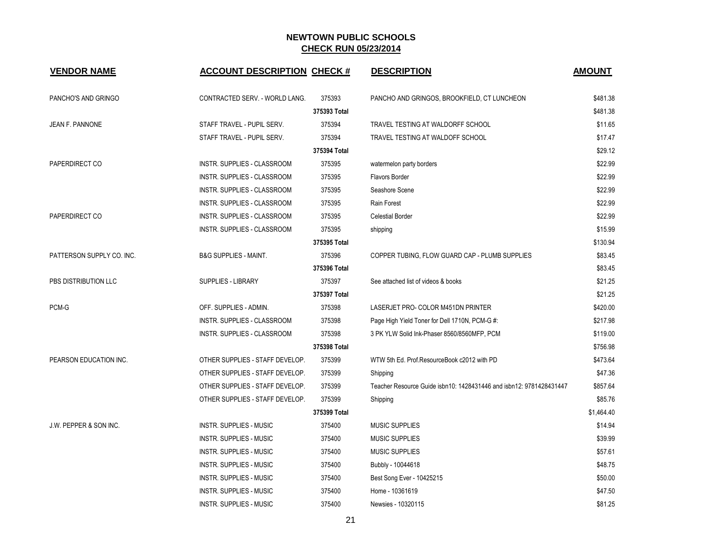| <b>VENDOR NAME</b>        | <b>ACCOUNT DESCRIPTION CHECK #</b> |              | <b>DESCRIPTION</b>                                                  | <b>AMOUNT</b> |
|---------------------------|------------------------------------|--------------|---------------------------------------------------------------------|---------------|
| PANCHO'S AND GRINGO       | CONTRACTED SERV. - WORLD LANG.     | 375393       | PANCHO AND GRINGOS, BROOKFIELD, CT LUNCHEON                         | \$481.38      |
|                           |                                    | 375393 Total |                                                                     | \$481.38      |
| JEAN F. PANNONE           | STAFF TRAVEL - PUPIL SERV.         | 375394       | TRAVEL TESTING AT WALDORFF SCHOOL                                   | \$11.65       |
|                           | STAFF TRAVEL - PUPIL SERV.         | 375394       | TRAVEL TESTING AT WALDOFF SCHOOL                                    | \$17.47       |
|                           |                                    | 375394 Total |                                                                     | \$29.12       |
| PAPERDIRECT CO            | INSTR. SUPPLIES - CLASSROOM        | 375395       | watermelon party borders                                            | \$22.99       |
|                           | INSTR. SUPPLIES - CLASSROOM        | 375395       | Flavors Border                                                      | \$22.99       |
|                           | INSTR. SUPPLIES - CLASSROOM        | 375395       | Seashore Scene                                                      | \$22.99       |
|                           | INSTR. SUPPLIES - CLASSROOM        | 375395       | Rain Forest                                                         | \$22.99       |
| PAPERDIRECT CO            | INSTR. SUPPLIES - CLASSROOM        | 375395       | <b>Celestial Border</b>                                             | \$22.99       |
|                           | INSTR. SUPPLIES - CLASSROOM        | 375395       | shipping                                                            | \$15.99       |
|                           |                                    | 375395 Total |                                                                     | \$130.94      |
| PATTERSON SUPPLY CO. INC. | <b>B&amp;G SUPPLIES - MAINT.</b>   | 375396       | COPPER TUBING, FLOW GUARD CAP - PLUMB SUPPLIES                      | \$83.45       |
|                           |                                    | 375396 Total |                                                                     | \$83.45       |
| PBS DISTRIBUTION LLC      | <b>SUPPLIES - LIBRARY</b>          | 375397       | See attached list of videos & books                                 | \$21.25       |
|                           |                                    | 375397 Total |                                                                     | \$21.25       |
| PCM-G                     | OFF. SUPPLIES - ADMIN.             | 375398       | LASERJET PRO- COLOR M451DN PRINTER                                  | \$420.00      |
|                           | INSTR. SUPPLIES - CLASSROOM        | 375398       | Page High Yield Toner for Dell 1710N, PCM-G #:                      | \$217.98      |
|                           | INSTR. SUPPLIES - CLASSROOM        | 375398       | 3 PK YLW Solid Ink-Phaser 8560/8560MFP, PCM                         | \$119.00      |
|                           |                                    | 375398 Total |                                                                     | \$756.98      |
| PEARSON EDUCATION INC.    | OTHER SUPPLIES - STAFF DEVELOP.    | 375399       | WTW 5th Ed. Prof.ResourceBook c2012 with PD                         | \$473.64      |
|                           | OTHER SUPPLIES - STAFF DEVELOP.    | 375399       | Shipping                                                            | \$47.36       |
|                           | OTHER SUPPLIES - STAFF DEVELOP.    | 375399       | Teacher Resource Guide isbn10: 1428431446 and isbn12: 9781428431447 | \$857.64      |
|                           | OTHER SUPPLIES - STAFF DEVELOP.    | 375399       | Shipping                                                            | \$85.76       |
|                           |                                    | 375399 Total |                                                                     | \$1,464.40    |
| J.W. PEPPER & SON INC.    | <b>INSTR. SUPPLIES - MUSIC</b>     | 375400       | <b>MUSIC SUPPLIES</b>                                               | \$14.94       |
|                           | <b>INSTR. SUPPLIES - MUSIC</b>     | 375400       | <b>MUSIC SUPPLIES</b>                                               | \$39.99       |
|                           | <b>INSTR. SUPPLIES - MUSIC</b>     | 375400       | <b>MUSIC SUPPLIES</b>                                               | \$57.61       |
|                           | <b>INSTR. SUPPLIES - MUSIC</b>     | 375400       | Bubbly - 10044618                                                   | \$48.75       |
|                           | <b>INSTR. SUPPLIES - MUSIC</b>     | 375400       | Best Song Ever - 10425215                                           | \$50.00       |
|                           | <b>INSTR. SUPPLIES - MUSIC</b>     | 375400       | Home - 10361619                                                     | \$47.50       |
|                           | <b>INSTR. SUPPLIES - MUSIC</b>     | 375400       | Newsies - 10320115                                                  | \$81.25       |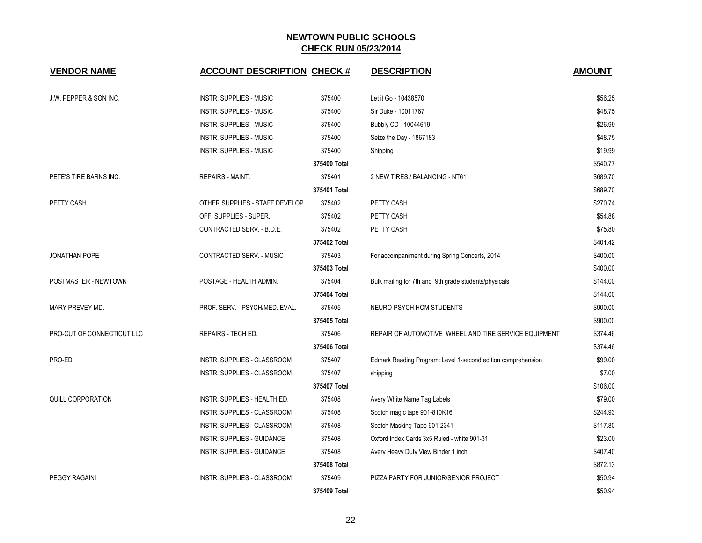| <b>VENDOR NAME</b>                | <b>ACCOUNT DESCRIPTION CHECK #</b> |              | <b>DESCRIPTION</b>                                           | <b>AMOUNT</b> |
|-----------------------------------|------------------------------------|--------------|--------------------------------------------------------------|---------------|
| <b>J.W. PEPPER &amp; SON INC.</b> | <b>INSTR. SUPPLIES - MUSIC</b>     | 375400       | Let it Go - 10438570                                         | \$56.25       |
|                                   | <b>INSTR. SUPPLIES - MUSIC</b>     | 375400       | Sir Duke - 10011767                                          | \$48.75       |
|                                   | <b>INSTR. SUPPLIES - MUSIC</b>     | 375400       | Bubbly CD - 10044619                                         | \$26.99       |
|                                   | <b>INSTR. SUPPLIES - MUSIC</b>     | 375400       | Seize the Day - 1867183                                      | \$48.75       |
|                                   | <b>INSTR. SUPPLIES - MUSIC</b>     | 375400       | Shipping                                                     | \$19.99       |
|                                   |                                    | 375400 Total |                                                              | \$540.77      |
| PETE'S TIRE BARNS INC.            | REPAIRS - MAINT.                   | 375401       | 2 NEW TIRES / BALANCING - NT61                               | \$689.70      |
|                                   |                                    | 375401 Total |                                                              | \$689.70      |
| PETTY CASH                        | OTHER SUPPLIES - STAFF DEVELOP.    | 375402       | PETTY CASH                                                   | \$270.74      |
|                                   | OFF. SUPPLIES - SUPER.             | 375402       | PETTY CASH                                                   | \$54.88       |
|                                   | CONTRACTED SERV. - B.O.E.          | 375402       | PETTY CASH                                                   | \$75.80       |
|                                   |                                    | 375402 Total |                                                              | \$401.42      |
| <b>JONATHAN POPE</b>              | <b>CONTRACTED SERV. - MUSIC</b>    | 375403       | For accompaniment during Spring Concerts, 2014               | \$400.00      |
|                                   |                                    | 375403 Total |                                                              | \$400.00      |
| POSTMASTER - NEWTOWN              | POSTAGE - HEALTH ADMIN.            | 375404       | Bulk mailing for 7th and 9th grade students/physicals        | \$144.00      |
|                                   |                                    | 375404 Total |                                                              | \$144.00      |
| MARY PREVEY MD.                   | PROF. SERV. - PSYCH/MED. EVAL.     | 375405       | NEURO-PSYCH HOM STUDENTS                                     | \$900.00      |
|                                   |                                    | 375405 Total |                                                              | \$900.00      |
| PRO-CUT OF CONNECTICUT LLC        | REPAIRS - TECH ED.                 | 375406       | REPAIR OF AUTOMOTIVE WHEEL AND TIRE SERVICE EQUIPMENT        | \$374.46      |
|                                   |                                    | 375406 Total |                                                              | \$374.46      |
| PRO-ED                            | INSTR. SUPPLIES - CLASSROOM        | 375407       | Edmark Reading Program: Level 1-second edition comprehension | \$99.00       |
|                                   | INSTR. SUPPLIES - CLASSROOM        | 375407       | shipping                                                     | \$7.00        |
|                                   |                                    | 375407 Total |                                                              | \$106.00      |
| <b>QUILL CORPORATION</b>          | INSTR. SUPPLIES - HEALTH ED.       | 375408       | Avery White Name Tag Labels                                  | \$79.00       |
|                                   | INSTR. SUPPLIES - CLASSROOM        | 375408       | Scotch magic tape 901-810K16                                 | \$244.93      |
|                                   | INSTR. SUPPLIES - CLASSROOM        | 375408       | Scotch Masking Tape 901-2341                                 | \$117.80      |
|                                   | INSTR. SUPPLIES - GUIDANCE         | 375408       | Oxford Index Cards 3x5 Ruled - white 901-31                  | \$23.00       |
|                                   | <b>INSTR. SUPPLIES - GUIDANCE</b>  | 375408       | Avery Heavy Duty View Binder 1 inch                          | \$407.40      |
|                                   |                                    | 375408 Total |                                                              | \$872.13      |
| <b>PEGGY RAGAINI</b>              | INSTR. SUPPLIES - CLASSROOM        | 375409       | PIZZA PARTY FOR JUNIOR/SENIOR PROJECT                        | \$50.94       |
|                                   |                                    | 375409 Total |                                                              | \$50.94       |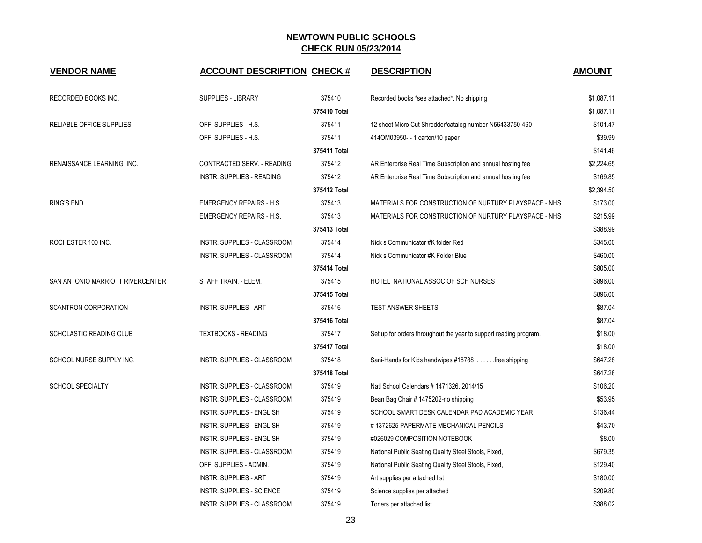| <b>VENDOR NAME</b>               | <b>ACCOUNT DESCRIPTION CHECK #</b> |              | <b>DESCRIPTION</b>                                                | <b>AMOUNT</b> |
|----------------------------------|------------------------------------|--------------|-------------------------------------------------------------------|---------------|
| RECORDED BOOKS INC.              | <b>SUPPLIES - LIBRARY</b>          | 375410       | Recorded books *see attached*. No shipping                        | \$1,087.11    |
|                                  |                                    | 375410 Total |                                                                   | \$1,087.11    |
| RELIABLE OFFICE SUPPLIES         | OFF. SUPPLIES - H.S.               | 375411       | 12 sheet Micro Cut Shredder/catalog number-N56433750-460          | \$101.47      |
|                                  | OFF. SUPPLIES - H.S.               | 375411       | 414OM03950- - 1 carton/10 paper                                   | \$39.99       |
|                                  |                                    | 375411 Total |                                                                   | \$141.46      |
| RENAISSANCE LEARNING, INC.       | CONTRACTED SERV. - READING         | 375412       | AR Enterprise Real Time Subscription and annual hosting fee       | \$2,224.65    |
|                                  | <b>INSTR. SUPPLIES - READING</b>   | 375412       | AR Enterprise Real Time Subscription and annual hosting fee       | \$169.85      |
|                                  |                                    | 375412 Total |                                                                   | \$2,394.50    |
| <b>RING'S END</b>                | <b>EMERGENCY REPAIRS - H.S.</b>    | 375413       | MATERIALS FOR CONSTRUCTION OF NURTURY PLAYSPACE - NHS             | \$173.00      |
|                                  | <b>EMERGENCY REPAIRS - H.S.</b>    | 375413       | MATERIALS FOR CONSTRUCTION OF NURTURY PLAYSPACE - NHS             | \$215.99      |
|                                  |                                    | 375413 Total |                                                                   | \$388.99      |
| ROCHESTER 100 INC.               | INSTR. SUPPLIES - CLASSROOM        | 375414       | Nick s Communicator #K folder Red                                 | \$345.00      |
|                                  | INSTR. SUPPLIES - CLASSROOM        | 375414       | Nick s Communicator #K Folder Blue                                | \$460.00      |
|                                  |                                    | 375414 Total |                                                                   | \$805.00      |
| SAN ANTONIO MARRIOTT RIVERCENTER | STAFF TRAIN. - ELEM.               | 375415       | HOTEL NATIONAL ASSOC OF SCH NURSES                                | \$896.00      |
|                                  |                                    | 375415 Total |                                                                   | \$896.00      |
| <b>SCANTRON CORPORATION</b>      | <b>INSTR. SUPPLIES - ART</b>       | 375416       | <b>TEST ANSWER SHEETS</b>                                         | \$87.04       |
|                                  |                                    | 375416 Total |                                                                   | \$87.04       |
| SCHOLASTIC READING CLUB          | <b>TEXTBOOKS - READING</b>         | 375417       | Set up for orders throughout the year to support reading program. | \$18.00       |
|                                  |                                    | 375417 Total |                                                                   | \$18.00       |
| SCHOOL NURSE SUPPLY INC.         | INSTR. SUPPLIES - CLASSROOM        | 375418       | Sani-Hands for Kids handwipes #18788 free shipping                | \$647.28      |
|                                  |                                    | 375418 Total |                                                                   | \$647.28      |
| <b>SCHOOL SPECIALTY</b>          | <b>INSTR. SUPPLIES - CLASSROOM</b> | 375419       | Natl School Calendars # 1471326, 2014/15                          | \$106.20      |
|                                  | <b>INSTR. SUPPLIES - CLASSROOM</b> | 375419       | Bean Bag Chair # 1475202-no shipping                              | \$53.95       |
|                                  | INSTR. SUPPLIES - ENGLISH          | 375419       | SCHOOL SMART DESK CALENDAR PAD ACADEMIC YEAR                      | \$136.44      |
|                                  | <b>INSTR. SUPPLIES - ENGLISH</b>   | 375419       | #1372625 PAPERMATE MECHANICAL PENCILS                             | \$43.70       |
|                                  | <b>INSTR. SUPPLIES - ENGLISH</b>   | 375419       | #026029 COMPOSITION NOTEBOOK                                      | \$8.00        |
|                                  | INSTR. SUPPLIES - CLASSROOM        | 375419       | National Public Seating Quality Steel Stools, Fixed,              | \$679.35      |
|                                  | OFF. SUPPLIES - ADMIN.             | 375419       | National Public Seating Quality Steel Stools, Fixed,              | \$129.40      |
|                                  | <b>INSTR. SUPPLIES - ART</b>       | 375419       | Art supplies per attached list                                    | \$180.00      |
|                                  | <b>INSTR. SUPPLIES - SCIENCE</b>   | 375419       | Science supplies per attached                                     | \$209.80      |
|                                  | INSTR. SUPPLIES - CLASSROOM        | 375419       | Toners per attached list                                          | \$388.02      |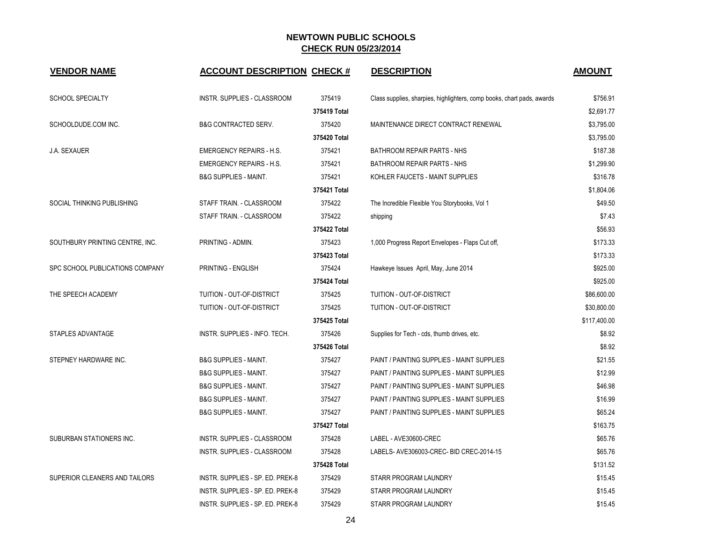| <b>VENDOR NAME</b>              | <b>ACCOUNT DESCRIPTION CHECK #</b> |              | <b>DESCRIPTION</b>                                                     | <b>AMOUNT</b> |
|---------------------------------|------------------------------------|--------------|------------------------------------------------------------------------|---------------|
| <b>SCHOOL SPECIALTY</b>         | INSTR. SUPPLIES - CLASSROOM        | 375419       | Class supplies, sharpies, highlighters, comp books, chart pads, awards | \$756.91      |
|                                 |                                    | 375419 Total |                                                                        | \$2,691.77    |
| SCHOOLDUDE.COM INC.             | <b>B&amp;G CONTRACTED SERV.</b>    | 375420       | MAINTENANCE DIRECT CONTRACT RENEWAL                                    | \$3,795.00    |
|                                 |                                    | 375420 Total |                                                                        | \$3,795.00    |
| <b>J.A. SEXAUER</b>             | <b>EMERGENCY REPAIRS - H.S.</b>    | 375421       | BATHROOM REPAIR PARTS - NHS                                            | \$187.38      |
|                                 | <b>EMERGENCY REPAIRS - H.S.</b>    | 375421       | BATHROOM REPAIR PARTS - NHS                                            | \$1,299.90    |
|                                 | <b>B&amp;G SUPPLIES - MAINT.</b>   | 375421       | KOHLER FAUCETS - MAINT SUPPLIES                                        | \$316.78      |
|                                 |                                    | 375421 Total |                                                                        | \$1,804.06    |
| SOCIAL THINKING PUBLISHING      | STAFF TRAIN. - CLASSROOM           | 375422       | The Incredible Flexible You Storybooks, Vol 1                          | \$49.50       |
|                                 | STAFF TRAIN. - CLASSROOM           | 375422       | shipping                                                               | \$7.43        |
|                                 |                                    | 375422 Total |                                                                        | \$56.93       |
| SOUTHBURY PRINTING CENTRE, INC. | PRINTING - ADMIN.                  | 375423       | 1,000 Progress Report Envelopes - Flaps Cut off,                       | \$173.33      |
|                                 |                                    | 375423 Total |                                                                        | \$173.33      |
| SPC SCHOOL PUBLICATIONS COMPANY | PRINTING - ENGLISH                 | 375424       | Hawkeye Issues April, May, June 2014                                   | \$925.00      |
|                                 |                                    | 375424 Total |                                                                        | \$925.00      |
| THE SPEECH ACADEMY              | TUITION - OUT-OF-DISTRICT          | 375425       | TUITION - OUT-OF-DISTRICT                                              | \$86,600.00   |
|                                 | TUITION - OUT-OF-DISTRICT          | 375425       | TUITION - OUT-OF-DISTRICT                                              | \$30,800.00   |
|                                 |                                    | 375425 Total |                                                                        | \$117,400.00  |
| STAPLES ADVANTAGE               | INSTR. SUPPLIES - INFO. TECH.      | 375426       | Supplies for Tech - cds, thumb drives, etc.                            | \$8.92        |
|                                 |                                    | 375426 Total |                                                                        | \$8.92        |
| STEPNEY HARDWARE INC.           | <b>B&amp;G SUPPLIES - MAINT.</b>   | 375427       | PAINT / PAINTING SUPPLIES - MAINT SUPPLIES                             | \$21.55       |
|                                 | <b>B&amp;G SUPPLIES - MAINT.</b>   | 375427       | PAINT / PAINTING SUPPLIES - MAINT SUPPLIES                             | \$12.99       |
|                                 | <b>B&amp;G SUPPLIES - MAINT.</b>   | 375427       | PAINT / PAINTING SUPPLIES - MAINT SUPPLIES                             | \$46.98       |
|                                 | <b>B&amp;G SUPPLIES - MAINT.</b>   | 375427       | PAINT / PAINTING SUPPLIES - MAINT SUPPLIES                             | \$16.99       |
|                                 | <b>B&amp;G SUPPLIES - MAINT.</b>   | 375427       | PAINT / PAINTING SUPPLIES - MAINT SUPPLIES                             | \$65.24       |
|                                 |                                    | 375427 Total |                                                                        | \$163.75      |
| SUBURBAN STATIONERS INC.        | INSTR. SUPPLIES - CLASSROOM        | 375428       | LABEL - AVE30600-CREC                                                  | \$65.76       |
|                                 | INSTR. SUPPLIES - CLASSROOM        | 375428       | LABELS- AVE306003-CREC- BID CREC-2014-15                               | \$65.76       |
|                                 |                                    | 375428 Total |                                                                        | \$131.52      |
| SUPERIOR CLEANERS AND TAILORS   | INSTR. SUPPLIES - SP. ED. PREK-8   | 375429       | STARR PROGRAM LAUNDRY                                                  | \$15.45       |
|                                 | INSTR. SUPPLIES - SP. ED. PREK-8   | 375429       | STARR PROGRAM LAUNDRY                                                  | \$15.45       |
|                                 | INSTR. SUPPLIES - SP. ED. PREK-8   | 375429       | STARR PROGRAM LAUNDRY                                                  | \$15.45       |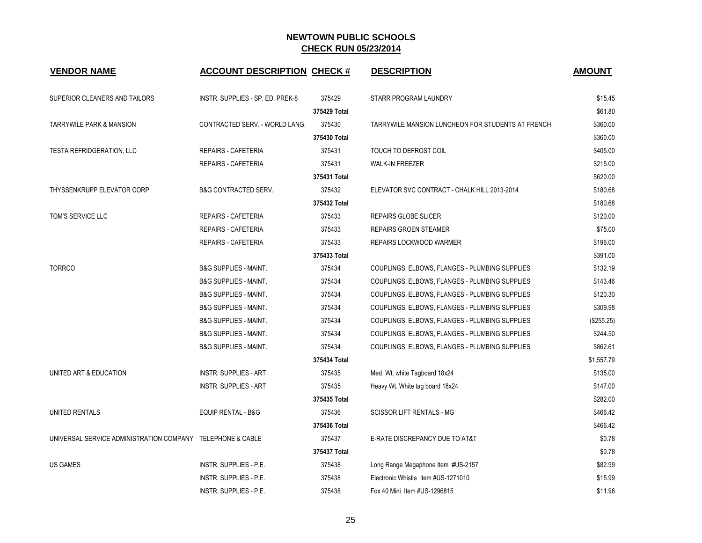| <b>VENDOR NAME</b>                                         | <b>ACCOUNT DESCRIPTION CHECK #</b> |              | <b>DESCRIPTION</b>                                | <b>AMOUNT</b> |
|------------------------------------------------------------|------------------------------------|--------------|---------------------------------------------------|---------------|
| SUPERIOR CLEANERS AND TAILORS                              | INSTR. SUPPLIES - SP. ED. PREK-8   | 375429       | STARR PROGRAM LAUNDRY                             | \$15.45       |
|                                                            |                                    | 375429 Total |                                                   | \$61.80       |
| <b>TARRYWILE PARK &amp; MANSION</b>                        | CONTRACTED SERV. - WORLD LANG.     | 375430       | TARRYWILE MANSION LUNCHEON FOR STUDENTS AT FRENCH | \$360.00      |
|                                                            |                                    | 375430 Total |                                                   | \$360.00      |
| <b>TESTA REFRIDGERATION, LLC</b>                           | <b>REPAIRS - CAFETERIA</b>         | 375431       | TOUCH TO DEFROST COIL                             | \$405.00      |
|                                                            | <b>REPAIRS - CAFETERIA</b>         | 375431       | <b>WALK-IN FREEZER</b>                            | \$215.00      |
|                                                            |                                    | 375431 Total |                                                   | \$620.00      |
| THYSSENKRUPP ELEVATOR CORP                                 | <b>B&amp;G CONTRACTED SERV.</b>    | 375432       | ELEVATOR SVC CONTRACT - CHALK HILL 2013-2014      | \$180.68      |
|                                                            |                                    | 375432 Total |                                                   | \$180.68      |
| TOM'S SERVICE LLC                                          | REPAIRS - CAFETERIA                | 375433       | REPAIRS GLOBE SLICER                              | \$120.00      |
|                                                            | <b>REPAIRS - CAFETERIA</b>         | 375433       | <b>REPAIRS GROEN STEAMER</b>                      | \$75.00       |
|                                                            | <b>REPAIRS - CAFETERIA</b>         | 375433       | REPAIRS LOCKWOOD WARMER                           | \$196.00      |
|                                                            |                                    | 375433 Total |                                                   | \$391.00      |
| <b>TORRCO</b>                                              | <b>B&amp;G SUPPLIES - MAINT.</b>   | 375434       | COUPLINGS, ELBOWS, FLANGES - PLUMBING SUPPLIES    | \$132.19      |
|                                                            | <b>B&amp;G SUPPLIES - MAINT.</b>   | 375434       | COUPLINGS, ELBOWS, FLANGES - PLUMBING SUPPLIES    | \$143.46      |
|                                                            | <b>B&amp;G SUPPLIES - MAINT.</b>   | 375434       | COUPLINGS, ELBOWS, FLANGES - PLUMBING SUPPLIES    | \$120.30      |
|                                                            | <b>B&amp;G SUPPLIES - MAINT.</b>   | 375434       | COUPLINGS, ELBOWS, FLANGES - PLUMBING SUPPLIES    | \$309.98      |
|                                                            | <b>B&amp;G SUPPLIES - MAINT.</b>   | 375434       | COUPLINGS, ELBOWS, FLANGES - PLUMBING SUPPLIES    | (\$255.25)    |
|                                                            | <b>B&amp;G SUPPLIES - MAINT.</b>   | 375434       | COUPLINGS, ELBOWS, FLANGES - PLUMBING SUPPLIES    | \$244.50      |
|                                                            | <b>B&amp;G SUPPLIES - MAINT.</b>   | 375434       | COUPLINGS, ELBOWS, FLANGES - PLUMBING SUPPLIES    | \$862.61      |
|                                                            |                                    | 375434 Total |                                                   | \$1,557.79    |
| UNITED ART & EDUCATION                                     | <b>INSTR. SUPPLIES - ART</b>       | 375435       | Med. Wt. white Tagboard 18x24                     | \$135.00      |
|                                                            | <b>INSTR. SUPPLIES - ART</b>       | 375435       | Heavy Wt. White tag board 18x24                   | \$147.00      |
|                                                            |                                    | 375435 Total |                                                   | \$282.00      |
| UNITED RENTALS                                             | <b>EQUIP RENTAL - B&amp;G</b>      | 375436       | <b>SCISSOR LIFT RENTALS - MG</b>                  | \$466.42      |
|                                                            |                                    | 375436 Total |                                                   | \$466.42      |
| UNIVERSAL SERVICE ADMINISTRATION COMPANY TELEPHONE & CABLE |                                    | 375437       | E-RATE DISCREPANCY DUE TO AT&T                    | \$0.78        |
|                                                            |                                    | 375437 Total |                                                   | \$0.78        |
| <b>US GAMES</b>                                            | <b>INSTR. SUPPLIES - P.E.</b>      | 375438       | Long Range Megaphone Item #US-2157                | \$82.99       |
|                                                            | <b>INSTR. SUPPLIES - P.E.</b>      | 375438       | Electronic Whistle Item #US-1271010               | \$15.99       |
|                                                            | INSTR. SUPPLIES - P.E.             | 375438       | Fox 40 Mini Item #US-1296815                      | \$11.96       |